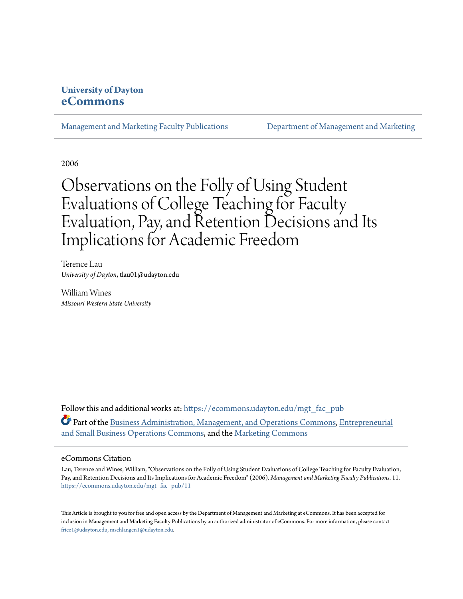# **University of Dayton [eCommons](https://ecommons.udayton.edu?utm_source=ecommons.udayton.edu%2Fmgt_fac_pub%2F11&utm_medium=PDF&utm_campaign=PDFCoverPages)**

[Management and Marketing Faculty Publications](https://ecommons.udayton.edu/mgt_fac_pub?utm_source=ecommons.udayton.edu%2Fmgt_fac_pub%2F11&utm_medium=PDF&utm_campaign=PDFCoverPages) [Department of Management and Marketing](https://ecommons.udayton.edu/mgt?utm_source=ecommons.udayton.edu%2Fmgt_fac_pub%2F11&utm_medium=PDF&utm_campaign=PDFCoverPages)

2006

# Observations on the Folly of Using Student Evaluations of College Teaching for Faculty Evaluation, Pay, and Retention Decisions and Its Implications for Academic Freedom

Terence Lau *University of Dayton*, tlau01@udayton.edu

William Wines *Missouri Western State University*

Follow this and additional works at: [https://ecommons.udayton.edu/mgt\\_fac\\_pub](https://ecommons.udayton.edu/mgt_fac_pub?utm_source=ecommons.udayton.edu%2Fmgt_fac_pub%2F11&utm_medium=PDF&utm_campaign=PDFCoverPages) **Part of the [Business Administration, Management, and Operations Commons](http://network.bepress.com/hgg/discipline/623?utm_source=ecommons.udayton.edu%2Fmgt_fac_pub%2F11&utm_medium=PDF&utm_campaign=PDFCoverPages), [Entrepreneurial](http://network.bepress.com/hgg/discipline/630?utm_source=ecommons.udayton.edu%2Fmgt_fac_pub%2F11&utm_medium=PDF&utm_campaign=PDFCoverPages)** [and Small Business Operations Commons,](http://network.bepress.com/hgg/discipline/630?utm_source=ecommons.udayton.edu%2Fmgt_fac_pub%2F11&utm_medium=PDF&utm_campaign=PDFCoverPages) and the [Marketing Commons](http://network.bepress.com/hgg/discipline/638?utm_source=ecommons.udayton.edu%2Fmgt_fac_pub%2F11&utm_medium=PDF&utm_campaign=PDFCoverPages)

## eCommons Citation

Lau, Terence and Wines, William, "Observations on the Folly of Using Student Evaluations of College Teaching for Faculty Evaluation, Pay, and Retention Decisions and Its Implications for Academic Freedom" (2006). *Management and Marketing Faculty Publications*. 11. [https://ecommons.udayton.edu/mgt\\_fac\\_pub/11](https://ecommons.udayton.edu/mgt_fac_pub/11?utm_source=ecommons.udayton.edu%2Fmgt_fac_pub%2F11&utm_medium=PDF&utm_campaign=PDFCoverPages)

This Article is brought to you for free and open access by the Department of Management and Marketing at eCommons. It has been accepted for inclusion in Management and Marketing Faculty Publications by an authorized administrator of eCommons. For more information, please contact [frice1@udayton.edu, mschlangen1@udayton.edu.](mailto:frice1@udayton.edu,%20mschlangen1@udayton.edu)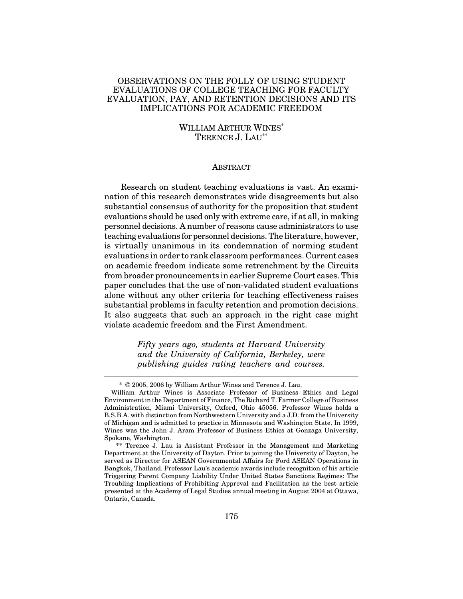# OBSERVATIONS ON THE FOLLY OF USING STUDENT EVALUATIONS OF COLLEGE TEACHING FOR FACULTY EVALUATION, PAY, AND RETENTION DECISIONS AND ITS IMPLICATIONS FOR ACADEMIC FREEDOM

# WILLIAM ARTHUR WINES \* TERENCE J. LAU \*\*

#### ABSTRACT

Research on student teaching evaluations is vast. An examination of this research demonstrates wide disagreements but also substantial consensus of authority for the proposition that student evaluations should be used only with extreme care, if at all, in making personnel decisions. A number of reasons cause administrators to use teaching evaluations for personnel decisions.The literature, however, is virtually unanimous in its condemnation of norming student evaluations in order to rank classroom performances. Current cases on academic freedom indicate some retrenchment by the Circuits from broader pronouncements in earlier Supreme Court cases. This paper concludes that the use of non-validated student evaluations alone without any other criteria for teaching effectiveness raises substantial problems in faculty retention and promotion decisions. It also suggests that such an approach in the right case might violate academic freedom and the First Amendment.

> *Fifty years ago, students at Harvard University and the University of California, Berkeley, were publishing guides rating teachers and courses.*

<sup>\*</sup> © 2005, 2006 by William Arthur Wines and Terence J. Lau.

William Arthur Wines is Associate Professor of Business Ethics and Legal Environmentin the Department of Finance, The Richard T. Farmer College of Business Administration, Miami University, Oxford, Ohio 45056. Professor Wines holds a B.S.B.A. with distinction from Northwestern University and a J.D. from the University of Michigan and is admitted to practice in Minnesota and Washington State. In 1999, Wines was the John J. Aram Professor of Business Ethics at Gonzaga University, Spokane, Washington.

<sup>\*\*</sup> Terence J. Lau is Assistant Professor in the Management and Marketing Department at the University of Dayton. Prior to joining the University of Dayton, he served as Director for ASEAN Governmental Affairs for Ford ASEAN Operations in Bangkok, Thailand. Professor Lau's academic awards include recognition of his article Triggering Parent Company Liability Under United States Sanctions Regimes: The Troubling Implications of Prohibiting Approval and Facilitation as the best article presented at the Academy of Legal Studies annual meeting in August 2004 at Ottawa, Ontario, Canada.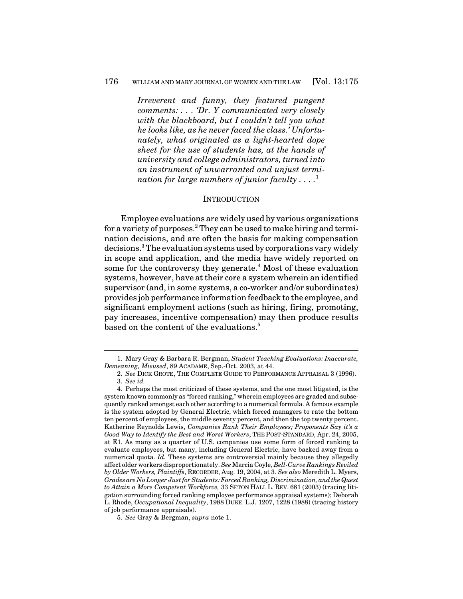*Irreverent and funny, they featured pungent comments: . . . 'Dr. Y communicated very closely with the blackboard, but I couldn't tell you what he looks like, as he never faced the class.' Unfortunately, what originated as a light-hearted dope sheet for the use of students has, at the hands of university and college administrators, turned into an instrument of unwarranted and unjust termination for large numbers of junior faculty . . . .* 1

#### **INTRODUCTION**

Employee evaluations are widely used by various organizations for a variety of purposes. <sup>2</sup> They can be used to make hiring and termination decisions, and are often the basis for making compensation decisions. <sup>3</sup> The evaluation systems used by corporations vary widely in scope and application, and the media have widely reported on some for the controversy they generate.<sup>4</sup> Most of these evaluation systems, however, have at their core a system wherein an identified supervisor (and, in some systems, a co-worker and/or subordinates) provides job performance information feedback to the employee, and significant employment actions (such as hiring, firing, promoting, pay increases, incentive compensation) may then produce results based on the content of the evaluations. 5

<sup>1.</sup> Mary Gray & Barbara R. Bergman, *Student Teaching Evaluations: Inaccurate, Demeaning, Misused*, 89 ACADAME, Sep.-Oct. 2003, at 44.

<sup>2.</sup> *See* DICK GROTE, THE COMPLETE GUIDE TO PERFORMANCE APPRAISAL 3 (1996). 3. *See id.*

<sup>4.</sup> Perhaps the most criticized of these systems, and the one most litigated, is the system known commonly as "forced ranking," wherein employees are graded and subsequently ranked amongst each other according to a numerical formula. A famous example is the system adopted by General Electric, which forced managers to rate the bottom ten percent of employees, the middle seventy percent, and then the top twenty percent. Katherine Reynolds Lewis, *Companies Rank Their Employees; Proponents Say it's a Good Way to Identify the Best and Worst Workers*, THE POST-STANDARD, Apr. 24, 2005, at E1. As many as a quarter of U.S. companies use some form of forced ranking to evaluate employees, but many, including General Electric, have backed away from a numerical quota. *Id.* These systems are controversial mainly because they allegedly affect older workers disproportionately. *See* Marcia Coyle, *Bell-Curve Rankings Reviled by Older Workers, Plaintiffs*, RECORDER, Aug. 19, 2004, at 3. *See also* Meredith L. Myers, *Grades are No Longer Justfor Students: Forced Ranking, Discrimination, and the Quest to Attain a More Competent Workforce,* 33 SETON HALL L. REV. 681 (2003) (tracing litigation surrounding forced ranking employee performance appraisal systems); Deborah L. Rhode, *Occupational Inequality*, 1988 DUKE L.J. 1207, 1228 (1988) (tracing history of job performance appraisals).

<sup>5.</sup> *See* Gray & Bergman, *supra* note 1.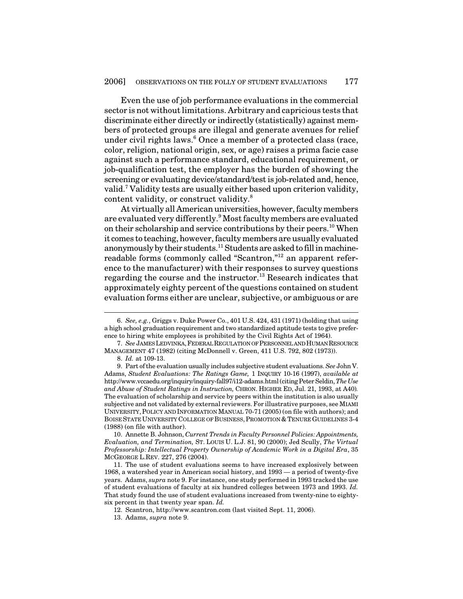Even the use of job performance evaluations in the commercial sector is not without limitations. Arbitrary and capricious tests that discriminate either directly or indirectly (statistically) against members of protected groups are illegal and generate avenues for relief under civil rights laws. <sup>6</sup> Once a member of a protected class (race, color, religion, national origin, sex, or age) raises a prima facie case against such a performance standard, educational requirement, or job-qualification test, the employer has the burden of showing the screening or evaluating device/standard/testis job-related and, hence, valid. <sup>7</sup> Validity tests are usually either based upon criterion validity, content validity, or construct validity.<sup>8</sup>

At virtually all American universities, however, faculty members are evaluated very differently.<sup>9</sup> Most faculty members are evaluated on their scholarship and service contributions by their peers. <sup>10</sup> When it comes to teaching, however, faculty members are usually evaluated anonymously by their students.<sup>11</sup> Students are asked to fill in machinereadable forms (commonly called "Scantron," 12 an apparent reference to the manufacturer) with their responses to survey questions regarding the course and the instructor. <sup>13</sup> Research indicates that approximately eighty percent of the questions contained on student evaluation forms either are unclear, subjective, or ambiguous or are

13. Adams, *supra* note 9.

<sup>6.</sup> *See, e.g.*, Griggs v. Duke Power Co., 401 U.S. 424, 431 (1971) (holding that using a high school graduation requirement and two standardized aptitude tests to give preference to hiring white employees is prohibited by the Civil Rights Act of 1964).

<sup>7.</sup> *See* JAMESLEDVINKA,FEDERALREGULATIONOFPERSONNELANDHUMANRESOURCE MANAGEMENT 47 (1982) (citing McDonnell v. Green, 411 U.S. 792, 802 (1973)).

<sup>8.</sup> *Id.* at 109-13.

<sup>9.</sup> Part ofthe evaluation usually includes subjective student evaluations. *See* John V. Adams, *Student Evaluations: The Ratings Game,* 1 INQUIRY 10-16 (1997), *available at* http://www.vccaedu.org/inquiry/inquiry-fall97/i12-adams.html(citingPeterSeldin,*The Use and Abuse of Student Ratings in Instruction,* CHRON. HIGHER ED, Jul. 21, 1993, at A40)*.* The evaluation of scholarship and service by peers within the institution is also usually subjective and not validated by external reviewers. For illustrative purposes, see MIAMI UNIVERSITY,POLICY AND INFORMATIONMANUAL 70-71 (2005) (on file with authors); and BOISE STATE UNIVERSITY COLLEGE OF BUSINESS, PROMOTION & TENURE GUIDELINES 3-4 (1988) (on file with author).

<sup>10.</sup> Annette B. Johnson, *Current Trends in Faculty Personnel Policies: Appointments, Evaluation, and Termination,* ST. LOUIS U. L.J. 81, 90 (2000); Jed Scully, *The Virtual Professorship: Intellectual Property Ownership of Academic Work in a Digital Era*, 35 MCGEORGE L.REV. 227, 276 (2004).

<sup>11.</sup> The use of student evaluations seems to have increased explosively between 1968, a watershed year in American social history, and 1993 — a period of twenty-five years. Adams, *supra* note 9. For instance, one study performed in 1993 tracked the use of student evaluations of faculty at six hundred colleges between 1973 and 1993. *Id.* That study found the use of student evaluations increased from twenty-nine to eightysix percent in that twenty year span. *Id.*

<sup>12.</sup> Scantron, http://www.scantron.com (last visited Sept. 11, 2006).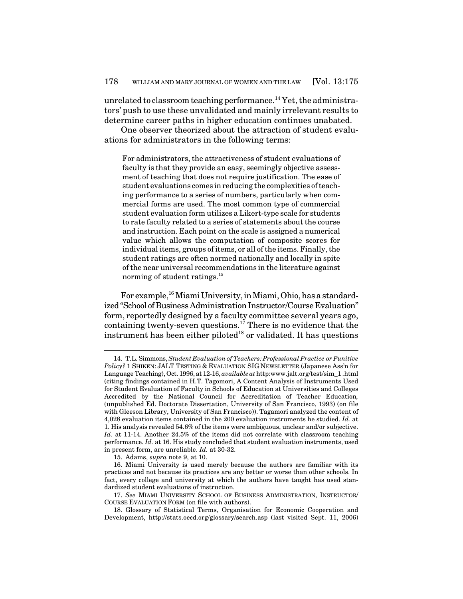unrelated to classroom teaching performance.<sup>14</sup> Yet, the administrators' push to use these unvalidated and mainly irrelevant results to determine career paths in higher education continues unabated.

One observer theorized about the attraction of student evaluations for administrators in the following terms:

For administrators, the attractiveness of student evaluations of faculty is that they provide an easy, seemingly objective assessment of teaching that does not require justification. The ease of student evaluations comes in reducing the complexities of teaching performance to a series of numbers, particularly when commercial forms are used. The most common type of commercial student evaluation form utilizes a Likert-type scale for students to rate faculty related to a series of statements about the course and instruction. Each point on the scale is assigned a numerical value which allows the computation of composite scores for individual items, groups of items, or all of the items. Finally, the student ratings are often normed nationally and locally in spite of the near universal recommendations in the literature against norming of student ratings.<sup>15</sup>

For example,<sup>16</sup> Miami University, in Miami, Ohio, has a standardized "School of Business Administration Instructor/Course Evaluation" form, reportedly designed by a faculty committee several years ago, containing twenty-seven questions. <sup>17</sup> There is no evidence that the instrument has been either piloted $^{18}$  or validated. It has questions

<sup>14.</sup> T.L. Simmons,*Student Evaluation of Teachers: Professional Practice or Punitive Policy?* 1 SHIKEN: JALT TESTING & EVALUATION SIG NEWSLETTER (Japanese Ass'n for Language Teaching), Oct. 1996, at 12-16, *available at* http:www.jalt.org/test/sim\_1 .html (citing findings contained in H.T. Tagomori, A Content Analysis of Instruments Used for Student Evaluation of Faculty in Schools of Education at Universities and Colleges Accredited by the National Council for Accreditation of Teacher Education*,* (unpublished Ed. Doctorate Dissertation, University of San Francisco, 1993) (on file with Gleeson Library, University of San Francisco)). Tagamori analyzed the content of 4,028 evaluation items contained in the 200 evaluation instruments he studied. *Id.* at 1. His analysis revealed 54.6% of the items were ambiguous, unclear and/or subjective. *Id.* at 11-14. Another 24.5% of the items did not correlate with classroom teaching performance. *Id.* at 16. His study concluded that student evaluation instruments, used in present form, are unreliable. *Id.* at 30-32.

<sup>15.</sup> Adams, *supra* note 9, at 10.

<sup>16.</sup> Miami University is used merely because the authors are familiar with its practices and not because its practices are any better or worse than other schools. In fact, every college and university at which the authors have taught has used standardized student evaluations of instruction.

<sup>17.</sup> *See* MIAMI UNIVERSITY SCHOOL OF BUSINESS ADMINISTRATION, INSTRUCTOR/ COURSE EVALUATION FORM (on file with authors).

<sup>18.</sup> Glossary of Statistical Terms, Organisation for Economic Cooperation and Development, http://stats.oecd.org/glossary/search.asp (last visited Sept. 11, 2006)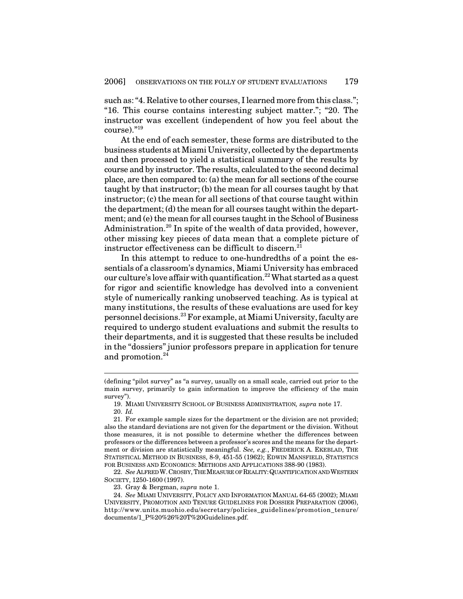such as: "4. Relative to other courses, I learned more from this class."; "16. This course contains interesting subject matter."; "20. The instructor was excellent (independent of how you feel about the course)." 19

At the end of each semester, these forms are distributed to the business students at Miami University, collected by the departments and then processed to yield a statistical summary of the results by course and by instructor. The results, calculated to the second decimal place, are then compared to: (a) the mean for all sections of the course taught by that instructor; (b) the mean for all courses taught by that instructor; (c) the mean for all sections of that course taught within the department; (d) the mean for all courses taught within the department; and (e) the mean for all courses taught in the School of Business Administration. 20 In spite of the wealth of data provided, however, other missing key pieces of data mean that a complete picture of instructor effectiveness can be difficult to discern. 21

In this attempt to reduce to one-hundredths of a point the essentials of a classroom's dynamics, Miami University has embraced our culture's love affair with quantification.<sup>22</sup> What started as a quest for rigor and scientific knowledge has devolved into a convenient style of numerically ranking unobserved teaching. As is typical at many institutions, the results of these evaluations are used for key personnel decisions. <sup>23</sup> For example, at Miami University,faculty are required to undergo student evaluations and submit the results to their departments, and it is suggested that these results be included in the "dossiers" junior professors prepare in application for tenure and promotion. 24

23. Gray & Bergman, *supra* note 1.

<sup>(</sup>defining "pilot survey" as "a survey, usually on a small scale, carried out prior to the main survey, primarily to gain information to improve the efficiency of the main survey").

<sup>19.</sup> MIAMI UNIVERSITY SCHOOL OF BUSINESS ADMINISTRATION*, supra* note 17. 20. *Id.*

<sup>21.</sup> For example sample sizes for the department or the division are not provided; also the standard deviations are not given for the department or the division. Without those measures, it is not possible to determine whether the differences between professors or the differences between a professor's scores and the means for the department or division are statistically meaningful. *See, e.g.*, FREDERICK A. EKEBLAD, THE STATISTICAL METHOD IN BUSINESS, 8-9, 451-55 (1962); EDWIN MANSFIELD, STATISTICS FOR BUSINESS AND ECONOMICS: METHODS AND APPLICATIONS 388-90 (1983).

<sup>22.</sup> *See* ALFREDW.CROSBY, THEMEASUREOFREALITY:QUANTIFICATIONANDWESTERN SOCIETY, 1250-1600 (1997).

<sup>24.</sup> *See* MIAMI UNIVERSITY, POLICY AND INFORMATION MANUAL 64-65 (2002); MIAMI UNIVERSITY, PROMOTION AND TENURE GUIDELINES FOR DOSSIER PREPARATION (2006), http://www.units.muohio.edu/secretary/policies\_guidelines/promotion\_tenure/ documents/1\_P%20%26%20T%20Guidelines.pdf.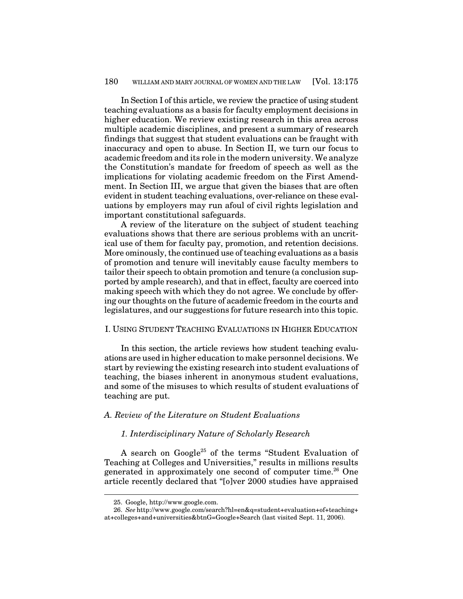In Section I of this article, we review the practice of using student teaching evaluations as a basis for faculty employment decisions in higher education. We review existing research in this area across multiple academic disciplines, and present a summary of research findings that suggest that student evaluations can be fraught with inaccuracy and open to abuse. In Section II, we turn our focus to academic freedom and its role in the modern university. We analyze the Constitution's mandate for freedom of speech as well as the implications for violating academic freedom on the First Amendment. In Section III, we argue that given the biases that are often evident in student teaching evaluations, over-reliance on these evaluations by employers may run afoul of civil rights legislation and important constitutional safeguards.

A review of the literature on the subject of student teaching evaluations shows that there are serious problems with an uncritical use of them for faculty pay, promotion, and retention decisions. More ominously, the continued use of teaching evaluations as a basis of promotion and tenure will inevitably cause faculty members to tailor their speech to obtain promotion and tenure (a conclusion supported by ample research), and that in effect, faculty are coerced into making speech with which they do not agree. We conclude by offering our thoughts on the future of academic freedom in the courts and legislatures, and our suggestions for future research into this topic.

#### I. USING STUDENT TEACHING EVALUATIONS IN HIGHER EDUCATION

In this section, the article reviews how student teaching evaluations are used in higher education to make personnel decisions. We start by reviewing the existing research into student evaluations of teaching, the biases inherent in anonymous student evaluations, and some of the misuses to which results of student evaluations of teaching are put.

# *A. Review of the Literature on Student Evaluations*

#### *1. Interdisciplinary Nature of Scholarly Research*

A search on Google<sup>25</sup> of the terms "Student Evaluation of Teaching at Colleges and Universities," results in millions results generated in approximately one second of computer time. <sup>26</sup> One article recently declared that "[o]ver 2000 studies have appraised

<sup>25.</sup> Google, http://www.google.com.

<sup>26.</sup> *See* http://www.google.com/search?hl=en&q=student+evaluation+of+teaching+ at+colleges+and+universities&btnG=Google+Search (last visited Sept. 11, 2006).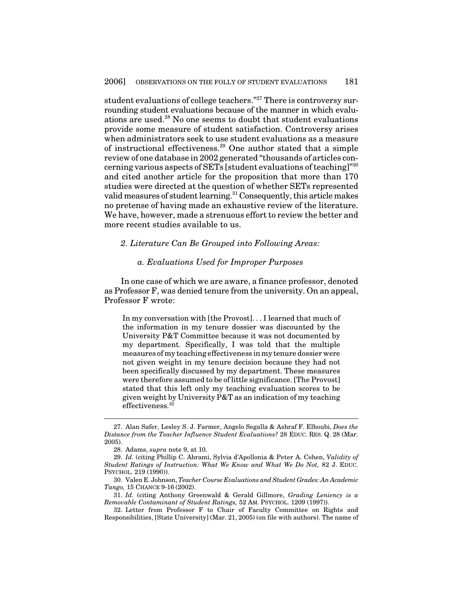student evaluations of college teachers." <sup>27</sup> There is controversy surrounding student evaluations because of the manner in which evaluations are used. <sup>28</sup> No one seems to doubt that student evaluations provide some measure of student satisfaction. Controversy arises when administrators seek to use student evaluations as a measure of instructional effectiveness. <sup>29</sup> One author stated that a simple review of one database in 2002 generated "thousands of articles concerning various aspects of SETs [student evaluations of teaching]" $^{\rm 30}$ and cited another article for the proposition that more than 170 studies were directed at the question of whether SETs represented valid measures of student learning.<sup>31</sup> Consequently, this article makes no pretense of having made an exhaustive review of the literature. We have, however, made a strenuous effort to review the better and more recent studies available to us.

#### *2. Literature Can Be Grouped into Following Areas:*

# *a. Evaluations Used for Improper Purposes*

In one case of which we are aware, a finance professor, denoted as Professor F, was denied tenure from the university. On an appeal, Professor F wrote:

In my conversation with [the Provost]. . . I learned that much of the information in my tenure dossier was discounted by the University P&T Committee because it was not documented by my department. Specifically, I was told that the multiple measures of my teaching effectiveness in my tenure dossier were not given weight in my tenure decision because they had not been specifically discussed by my department. These measures were therefore assumed to be of little significance. [The Provost] stated that this left only my teaching evaluation scores to be given weight by University P&T as an indication of my teaching effectiveness. 32

<sup>27.</sup> Alan Safer, Lesley S. J. Farmer, Angelo Segalla & Ashraf F. Elhoubi, *Does the Distance from the Teacher Influence Student Evaluations?* 28 EDUC. RES. Q. 28 (Mar. 2005).

<sup>28.</sup> Adams, *supra* note 9, at 10.

<sup>29.</sup> *Id.* (citing Phillip C. Abrami, Sylvia d'Apollonia & Peter A. Cohen, *Validity of Student Ratings of Instruction: What We Know and What We Do Not,* 82 J. EDUC. PSYCHOL. 219 (1990)).

<sup>30.</sup> Valen E. Johnson, *Teacher Course Evaluations and Student Grades: An Academic Tango,* 15 CHANCE 9-16 (2002).

<sup>31.</sup> *Id.* (citing Anthony Greenwald & Gerald Gillmore, *Grading Leniency is a Removable Contaminant of Student Ratings,* 52 AM. PSYCHOL. 1209 (1997)).

<sup>32.</sup> Letter from Professor F to Chair of Faculty Committee on Rights and Responsibilities, [State University] (Mar. 21, 2005) (on file with authors). The name of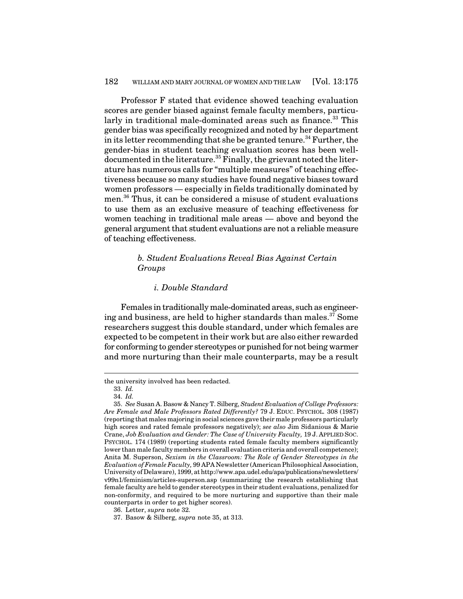Professor F stated that evidence showed teaching evaluation scores are gender biased against female faculty members, particularly in traditional male-dominated areas such as finance. <sup>33</sup> This gender bias was specifically recognized and noted by her department in its letter recommending that she be granted tenure.<sup>34</sup> Further, the gender-bias in student teaching evaluation scores has been welldocumented in the literature.<sup>35</sup> Finally, the grievant noted the literature has numerous calls for "multiple measures" of teaching effectiveness because so many studies have found negative biases toward women professors — especially in fields traditionally dominated by men. <sup>36</sup> Thus, it can be considered a misuse of student evaluations to use them as an exclusive measure of teaching effectiveness for women teaching in traditional male areas — above and beyond the general argument that student evaluations are not a reliable measure of teaching effectiveness.

# *b. Student Evaluations Reveal Bias Against Certain Groups*

#### *i. Double Standard*

Females in traditionally male-dominated areas, such as engineering and business, are held to higher standards than males. <sup>37</sup> Some researchers suggest this double standard, under which females are expected to be competent in their work but are also either rewarded for conforming to gender stereotypes or punished for not being warmer and more nurturing than their male counterparts, may be a result

the university involved has been redacted.

<sup>33.</sup> *Id.*

<sup>34.</sup> *Id.*

<sup>35.</sup> *See* Susan A. Basow & Nancy T. Silberg, *Student Evaluation of College Professors: Are Female and Male Professors Rated Differently?* 79 J. EDUC. PSYCHOL*.* 308 (1987) (reporting that males majoring in social sciences gave their male professors particularly high scores and rated female professors negatively); *see also* Jim Sidanious & Marie Crane, *Job Evaluation and Gender: The Case of University Faculty,* 19 J. APPLIED SOC. PSYCHOL. 174 (1989) (reporting students rated female faculty members significantly lower than male faculty members in overall evaluation criteria and overall competence); Anita M. Superson, *Sexism in the Classroom: The Role of Gender Stereotypes in the Evaluation of Female Faculty,* 99 APA Newsletter (AmericanPhilosophical Association, University of Delaware), 1999, at http://www.apa.udel.edu/apa/publications/newsletters/ v99n1/feminism/articles-superson.asp (summarizing the research establishing that female faculty are held to gender stereotypes in their student evaluations, penalized for non-conformity, and required to be more nurturing and supportive than their male counterparts in order to get higher scores).

<sup>36.</sup> Letter, *supra* note 32.

<sup>37.</sup> Basow & Silberg, *supra* note 35, at 313.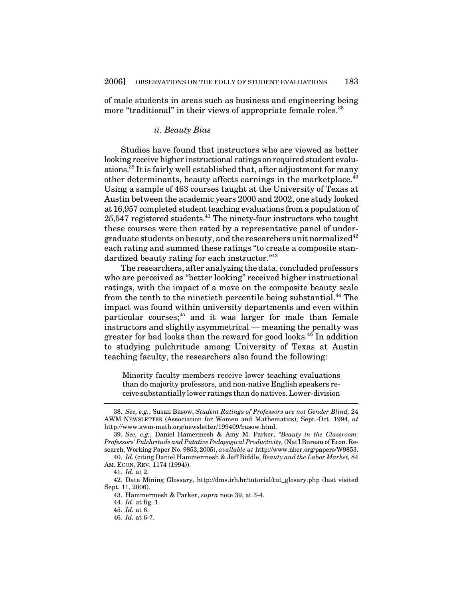of male students in areas such as business and engineering being more "traditional" in their views of appropriate female roles. 38

#### *ii. Beauty Bias*

Studies have found that instructors who are viewed as better looking receive higher instructional ratings on required student evaluations. 39 It is fairly well established that, after adjustment for many other determinants, beauty affects earnings in the marketplace.<sup>40</sup> Using a sample of 463 courses taught at the University of Texas at Austin between the academic years 2000 and 2002, one study looked at 16,957 completed student teaching evaluations from a population of 25,547 registered students. <sup>41</sup> The ninety-four instructors who taught these courses were then rated by a representative panel of undergraduate students on beauty, and the researchers unit normalized $^{42}$ each rating and summed these ratings "to create a composite standardized beauty rating for each instructor."<sup>43</sup>

The researchers, after analyzing the data, concluded professors who are perceived as "better looking" received higher instructional ratings, with the impact of a move on the composite beauty scale from the tenth to the ninetieth percentile being substantial.<sup>44</sup> The impact was found within university departments and even within particular courses; 45 and it was larger for male than female instructors and slightly asymmetrical — meaning the penalty was greater for bad looks than the reward for good looks. 46 In addition to studying pulchritude among University of Texas at Austin teaching faculty, the researchers also found the following:

Minority faculty members receive lower teaching evaluations than do majority professors, and non-native English speakers receive substantially lower ratings than do natives.Lower-division

<sup>38.</sup> *See, e.g.*, Susan Basow, *Student Ratings of Professors are not Gender Blind,* 24 AWM NEWSLETTER (Association for Women and Mathematics), Sept.-Oct. 1994, *at* http://www.awm-math.org/newsletter/199409/basow.html.

<sup>39.</sup> *See, e.g.*, Daniel Hamermesh & Amy M. Parker, *"Beauty in the Classroom: Professors' Pulchritude and Putative Pedagogical Productivity,* (Nat'l Bureau of Econ. Research, Working Paper No. 9853,2005), *available at* http://www.nber.org/papers/W9853.

<sup>40.</sup> *Id.* (citing Daniel Hammermesh & Jeff Biddle, *Beauty and the Labor Market,* 84 AM. ECON. REV. 1174 (1994)).

<sup>41.</sup> *Id.* at 2.

<sup>42.</sup> Data Mining Glossary, http://dms.irb.hr/tutorial/tut\_glosary.php (last visited Sept. 11, 2006).

<sup>43.</sup> Hammermesh & Parker, *supra* note 39, at 3-4.

<sup>44.</sup> *Id.* at fig. 1.

<sup>45.</sup> *Id.* at 6.

<sup>46.</sup> *Id.* at 6-7.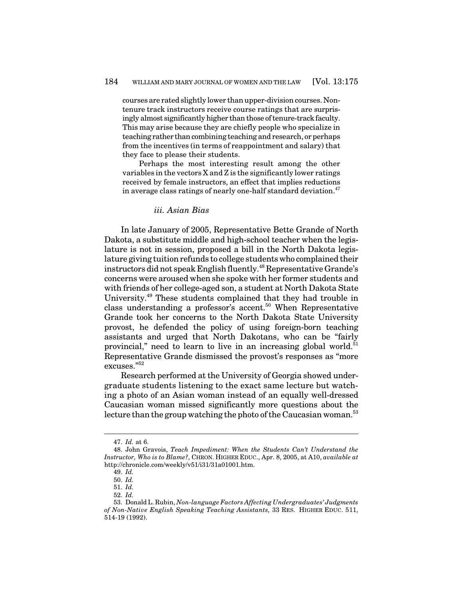courses are rated slightly lower thanupper-division courses. Nontenure track instructors receive course ratings that are surprisingly almost significantly higher than those of tenure-track faculty. This may arise because they are chiefly people who specialize in teaching rather thancombining teaching and research, or perhaps from the incentives (in terms of reappointment and salary) that they face to please their students.

Perhaps the most interesting result among the other variables in the vectors  $X$  and  $Z$  is the significantly lower ratings received by female instructors, an effect that implies reductions in average class ratings of nearly one-half standard deviation. $^{47}$ 

#### *iii. Asian Bias*

In late January of 2005, Representative Bette Grande of North Dakota, a substitute middle and high-school teacher when the legislature is not in session, proposed a bill in the North Dakota legislature giving tuition refunds to college students who complained their instructors did not speak English fluently. $^{48}$  Representative Grande's concerns were aroused when she spoke with her former students and with friends of her college-aged son, a student at North Dakota State University. <sup>49</sup> These students complained that they had trouble in class understanding a professor's accent.<sup>50</sup> When Representative Grande took her concerns to the North Dakota State University provost, he defended the policy of using foreign-born teaching assistants and urged that North Dakotans, who can be "fairly provincial," need to learn to live in an increasing global world.<sup>51</sup> Representative Grande dismissed the provost's responses as "more excuses." 52

Research performed at the University of Georgia showed undergraduate students listening to the exact same lecture but watching a photo of an Asian woman instead of an equally well-dressed Caucasian woman missed significantly more questions about the lecture than the group watching the photo of the Caucasian woman. $^{\rm 53}$ 

<sup>47.</sup> *Id.* at 6.

<sup>48.</sup> John Gravois, *Teach Impediment: When the Students Can't Understand the Instructor, Who is to Blame?*, CHRON. HIGHER EDUC., Apr. 8, 2005, at A10, *available at* http://chronicle.com/weekly/v51/i31/31a01001.htm.

<sup>49.</sup> *Id.*

<sup>50.</sup> *Id.*

<sup>51.</sup> *Id.*

<sup>52.</sup> *Id.*

<sup>53.</sup> Donald L. Rubin, *Non-language Factors Affecting Undergraduates' Judgments of Non-Native English Speaking Teaching Assistants,* 33 RES. HIGHER EDUC. 511, 514-19 (1992).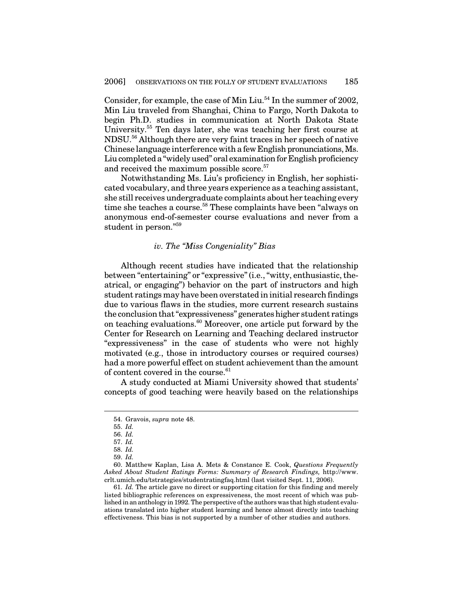Consider, for example, the case of Min Liu.<sup>54</sup> In the summer of 2002, Min Liu traveled from Shanghai, China to Fargo, North Dakota to begin Ph.D. studies in communication at North Dakota State University. <sup>55</sup> Ten days later, she was teaching her first course at NDSU. <sup>56</sup> Although there are very faint traces in her speech of native Chinese language interference with a few English pronunciations, Ms. Liu completed a "widely used" oral examination for English proficiency and received the maximum possible score. 57

Notwithstanding Ms. Liu's proficiency in English, her sophisticated vocabulary, and three years experience as a teaching assistant, she still receives undergraduate complaints about her teaching every time she teaches a course. <sup>58</sup> These complaints have been "always on anonymous end-of-semester course evaluations and never from a student in person." 59

#### *iv. The "Miss Congeniality" Bias*

Although recent studies have indicated that the relationship between "entertaining" or "expressive" (i.e., "witty, enthusiastic, theatrical, or engaging") behavior on the part of instructors and high student ratings may have been overstated in initial research findings due to various flaws in the studies, more current research sustains the conclusion that "expressiveness" generates higher student ratings on teaching evaluations. <sup>60</sup> Moreover, one article put forward by the Center for Research on Learning and Teaching declared instructor "expressiveness" in the case of students who were not highly motivated (e.g., those in introductory courses or required courses) had a more powerful effect on student achievement than the amount of content covered in the course. 61

A study conducted at Miami University showed that students' concepts of good teaching were heavily based on the relationships

60. Matthew Kaplan, Lisa A. Mets & Constance E. Cook, *Questions Frequently Asked About Student Ratings Forms: Summary of Research Findings,* http://www. crlt.umich.edu/tstrategies/studentratingfaq.html (last visited Sept. 11, 2006).

61. *Id.* The article gave no direct or supporting citation for this finding and merely listed bibliographic references on expressiveness, the most recent of which was published in an anthology in 1992. The perspective of the authors was that high student evaluations translated into higher student learning and hence almost directly into teaching effectiveness. This bias is not supported by a number of other studies and authors.

<sup>54.</sup> Gravois, *supra* note 48.

<sup>55.</sup> *Id.*

<sup>56.</sup> *Id.*

<sup>57.</sup> *Id.*

<sup>58.</sup> *Id.*

<sup>59.</sup> *Id.*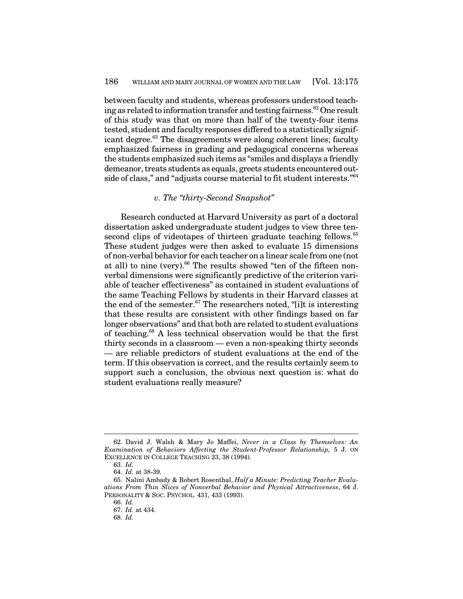between faculty and students, whereas professors understood teaching as related to information transfer and testing fairness.  $^{62}$  One result of this study was that on more than half of the twenty-four items tested, student and faculty responses differed to a statistically significant degree. <sup>63</sup> The disagreements were along coherent lines; faculty emphasized fairness in grading and pedagogical concerns whereas the students emphasized such items as "smiles and displays a friendly demeanor, treats students as equals, greets students encountered outside of class," and "adjusts course material to fit student interests." 64

#### *v. The "thirty-Second Snapshot"*

Research conducted at Harvard University as part of a doctoral dissertation asked undergraduate student judges to view three tensecond clips of videotapes of thirteen graduate teaching fellows.<sup>65</sup> These student judges were then asked to evaluate 15 dimensions of non-verbal behavior for each teacher on a linear scale from one (not at all) to nine (very). <sup>66</sup> The results showed "ten of the fifteen nonverbal dimensions were significantly predictive of the criterion variable of teacher effectiveness" as contained in student evaluations of the same Teaching Fellows by students in their Harvard classes at the end of the semester.<sup>67</sup> The researchers noted, "[i]t is interesting that these results are consistent with other findings based on far longer observations" and that both are related to student evaluations of teaching. <sup>68</sup> A less technical observation would be that the first thirty seconds in a classroom — even a non-speaking thirty seconds — are reliable predictors of student evaluations at the end of the term. If this observation is correct, and the results certainly seem to support such a conclusion, the obvious next question is: what do student evaluations really measure?

<sup>62.</sup> David J. Walsh & Mary Jo Maffei, *Never in a Class by Themselves: An Examination of Behaviors Affecting the Student-Professor Relationship,* 5 J. ON EXCELLENCE IN COLLEGE TEACHING 23, 38 (1994).

<sup>63.</sup> *Id.*

<sup>64.</sup> *Id.* at 38-39.

<sup>65.</sup> Nalini Ambady & Robert Rosenthal, *Half a Minute: Predicting Teacher Evaluations From Thin Slices of Nonverbal Behavior and Physical Attractiveness*, 64 J. PERSONALITY & SOC. PSYCHOL. 431, 433 (1993).

<sup>66.</sup> *Id.*

<sup>67.</sup> *Id.* at 434.

<sup>68.</sup> *Id.*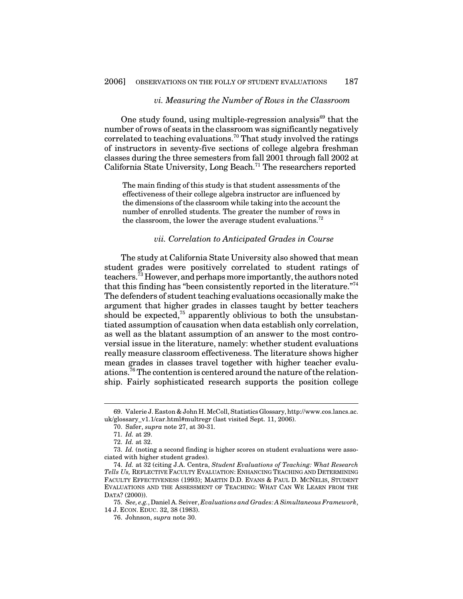# *vi. Measuring the Number of Rows in the Classroom*

One study found, using multiple-regression analysis<sup>69</sup> that the number of rows of seats in the classroom was significantly negatively correlated to teaching evaluations. <sup>70</sup> That study involved the ratings of instructors in seventy-five sections of college algebra freshman classes during the three semesters from fall 2001 through fall 2002 at California State University, Long Beach.<sup>71</sup> The researchers reported

The main finding of this study is that student assessments of the effectiveness of their college algebra instructor are influenced by the dimensions of the classroom while taking into the account the number of enrolled students. The greater the number of rows in the classroom, the lower the average student evaluations.<sup>72</sup>

#### *vii. Correlation to Anticipated Grades in Course*

The study at California State University also showed that mean student grades were positively correlated to student ratings of teachers.<sup>73</sup> However, and perhaps more importantly, the authors noted that this finding has "been consistently reported in the literature."<sup>74</sup> The defenders of student teaching evaluations occasionally make the argument that higher grades in classes taught by better teachers should be expected,<sup>75</sup> apparently oblivious to both the unsubstantiated assumption of causation when data establish only correlation, as well as the blatant assumption of an answer to the most controversial issue in the literature, namely: whether student evaluations really measure classroom effectiveness. The literature shows higher mean grades in classes travel together with higher teacher evaluations.<sup>76</sup> The contention is centered around the nature of the relationship. Fairly sophisticated research supports the position college

<sup>69.</sup> Valerie J. Easton & John H. McColl, Statistics Glossary, http://www.cos.lancs.ac. uk/glossary\_v1.1/car.html#multregr (last visited Sept. 11, 2006).

<sup>70.</sup> Safer, *supra* note 27, at 30-31.

<sup>71.</sup> *Id.* at 29.

<sup>72.</sup> *Id.* at 32.

<sup>73.</sup> *Id.* (noting a second finding is higher scores on student evaluations were associated with higher student grades).

<sup>74.</sup> *Id.* at 32 (citing J.A. Centra, *Student Evaluations of Teaching: What Research Tells Us,* REFLECTIVE FACULTY EVALUATION: ENHANCING TEACHING AND DETERMINING FACULTY EFFECTIVENESS (1993); MARTIN D.D. EVANS & PAUL D. MCNELIS, STUDENT EVALUATIONS AND THE ASSESSMENT OF TEACHING: WHAT CAN WE LEARN FROM THE DATA? (2000)).

<sup>75.</sup> *See, e.g.*, Daniel A. Seiver, *Evaluations and Grades: A Simultaneous Framework*, 14 J. ECON. EDUC. 32, 38 (1983).

<sup>76.</sup> Johnson, *supra* note 30.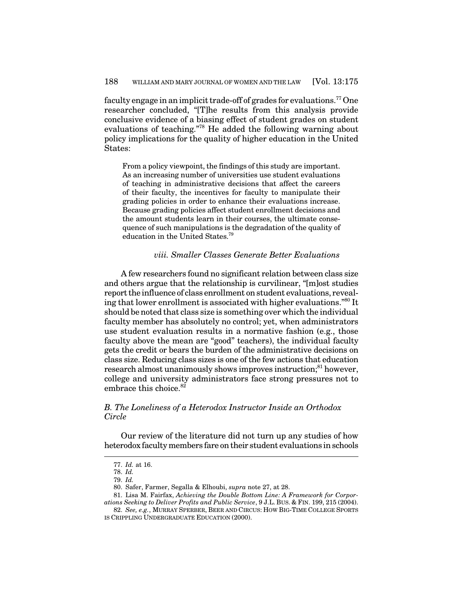faculty engage in an implicit trade-off of grades for evaluations.<sup>77</sup> One researcher concluded, "[T]he results from this analysis provide conclusive evidence of a biasing effect of student grades on student evaluations of teaching." <sup>78</sup> He added the following warning about policy implications for the quality of higher education in the United States:

From a policy viewpoint, the findings of this study are important. As an increasing number of universities use student evaluations of teaching in administrative decisions that affect the careers of their faculty, the incentives for faculty to manipulate their grading policies in order to enhance their evaluations increase. Because grading policies affect student enrollment decisions and the amount students learn in their courses, the ultimate consequence of such manipulations is the degradation of the quality of education in the United States. 79

# *viii. Smaller Classes Generate Better Evaluations*

A few researchers found no significant relation between class size and others argue that the relationship is curvilinear, "[m]ost studies report the influence of class enrollment on student evaluations, revealing that lower enrollment is associated with higher evaluations." $^{80}$  It should be noted that class size is something over which the individual faculty member has absolutely no control; yet, when administrators use student evaluation results in a normative fashion (e.g., those faculty above the mean are "good" teachers), the individual faculty gets the credit or bears the burden of the administrative decisions on class size. Reducing class sizes is one of the few actions that education research almost unanimously shows improves instruction;<sup>81</sup> however, college and university administrators face strong pressures not to embrace this choice.<sup>82</sup>

# *B. The Loneliness of a Heterodox Instructor Inside an Orthodox Circle*

Our review of the literature did not turn up any studies of how heterodox faculty members fare on their student evaluations in schools

<sup>77.</sup> *Id.* at 16. 78. *Id.*

<sup>79.</sup> *Id.*

<sup>80.</sup> Safer, Farmer, Segalla & Elhoubi, *supra* note 27, at 28.

<sup>81.</sup> Lisa M. Fairfax, *Achieving the Double Bottom Line: A Framework for Corpor-*

*ations Seeking to Deliver Profits and Public Service*, 9 J.L. BUS. & FIN. 199, 215 (2004). 82. *See, e.g.*, MURRAY SPERBER, BEER AND CIRCUS: HOW BIG-TIME COLLEGE SPORTS

IS CRIPPLING UNDERGRADUATE EDUCATION (2000).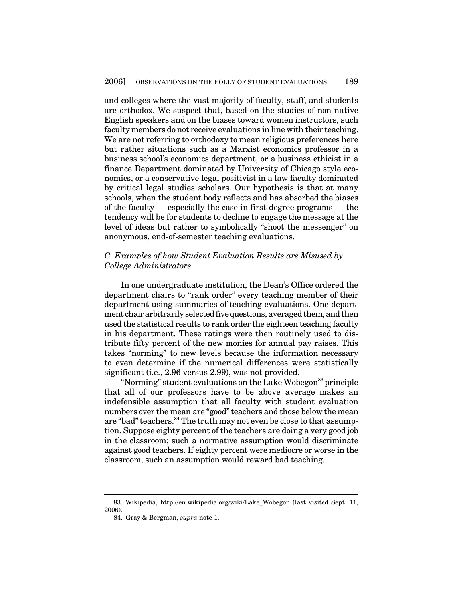and colleges where the vast majority of faculty, staff, and students are orthodox. We suspect that, based on the studies of non-native English speakers and on the biases toward women instructors, such faculty members do not receive evaluations in line with their teaching. We are not referring to orthodoxy to mean religious preferences here but rather situations such as a Marxist economics professor in a business school's economics department, or a business ethicist in a finance Department dominated by University of Chicago style economics, or a conservative legal positivist in a law faculty dominated by critical legal studies scholars. Our hypothesis is that at many schools, when the student body reflects and has absorbed the biases of the faculty — especially the case in first degree programs — the tendency will be for students to decline to engage the message at the level of ideas but rather to symbolically "shoot the messenger" on anonymous, end-of-semester teaching evaluations.

# *C. Examples of how Student Evaluation Results are Misused by College Administrators*

In one undergraduate institution, the Dean's Office ordered the department chairs to "rank order" every teaching member of their department using summaries of teaching evaluations. One department chair arbitrarily selected five questions, averaged them, and then used the statistical results to rank order the eighteen teaching faculty in his department. These ratings were then routinely used to distribute fifty percent of the new monies for annual pay raises. This takes "norming" to new levels because the information necessary to even determine if the numerical differences were statistically significant (i.e., 2.96 versus 2.99), was not provided.

"Norming" student evaluations on the Lake Wobegon <sup>83</sup> principle that all of our professors have to be above average makes an indefensible assumption that all faculty with student evaluation numbers over the mean are "good" teachers and those below the mean are "bad" teachers.<sup>84</sup> The truth may not even be close to that assumption. Suppose eighty percent of the teachers are doing a very good job in the classroom; such a normative assumption would discriminate against good teachers. If eighty percent were mediocre or worse in the classroom, such an assumption would reward bad teaching.

<sup>83.</sup> Wikipedia, http://en.wikipedia.org/wiki/Lake\_Wobegon (last visited Sept. 11, 2006).

<sup>84.</sup> Gray & Bergman, *supra* note 1.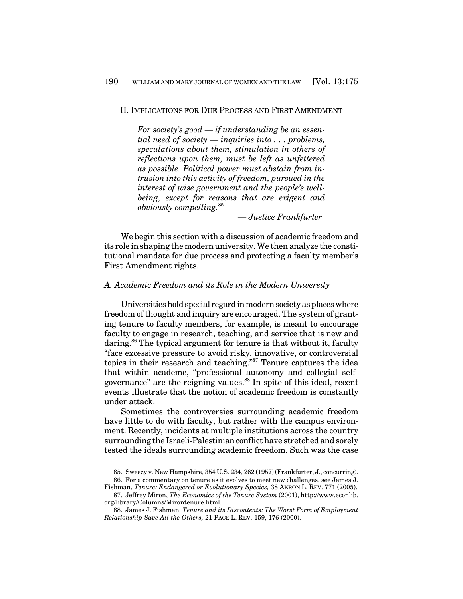#### II. IMPLICATIONS FOR DUE PROCESS AND FIRST AMENDMENT

*For society's good — if understanding be an essential need of society — inquiries into . . . problems, speculations about them, stimulation in others of reflections upon them, must be left as unfettered as possible. Political power must abstain from intrusion into this activity of freedom, pursued in the interest of wise government and the people's wellbeing, except for reasons that are exigent and obviously compelling.* 85

*— Justice Frankfurter*

We begin this section with a discussion of academic freedom and its role inshaping the modernuniversity.We then analyze the constitutional mandate for due process and protecting a faculty member's First Amendment rights.

#### *A. Academic Freedom and its Role in the Modern University*

Universities hold special regard in modern society as places where freedom of thought and inquiry are encouraged. The system of granting tenure to faculty members, for example, is meant to encourage faculty to engage in research, teaching, and service that is new and daring. <sup>86</sup> The typical argument for tenure is that without it, faculty "face excessive pressure to avoid risky, innovative, or controversial topics in their research and teaching."<sup>87</sup> Tenure captures the idea that within academe, "professional autonomy and collegial selfgovernance" are the reigning values. 88 In spite of this ideal, recent events illustrate that the notion of academic freedom is constantly under attack.

Sometimes the controversies surrounding academic freedom have little to do with faculty, but rather with the campus environment. Recently, incidents at multiple institutions across the country surrounding the Israeli-Palestinian conflict have stretched and sorely tested the ideals surrounding academic freedom. Such was the case

<sup>85.</sup> Sweezy v. New Hampshire, 354 U.S. 234, 262 (1957) (Frankfurter, J., concurring). 86. For a commentary on tenure as it evolves to meet new challenges, see James J.

Fishman, *Tenure: Endangered or Evolutionary Species,* 38 AKRON L. REV. 771 (2005). 87. Jeffrey Miron, *The Economics of the Tenure System* (2001), http://www.econlib.

org/library/Columns/Mirontenure.html.

<sup>88.</sup> James J. Fishman, *Tenure and its Discontents: The Worst Form of Employment Relationship Save All the Others,* 21 PACE L. REV. 159, 176 (2000).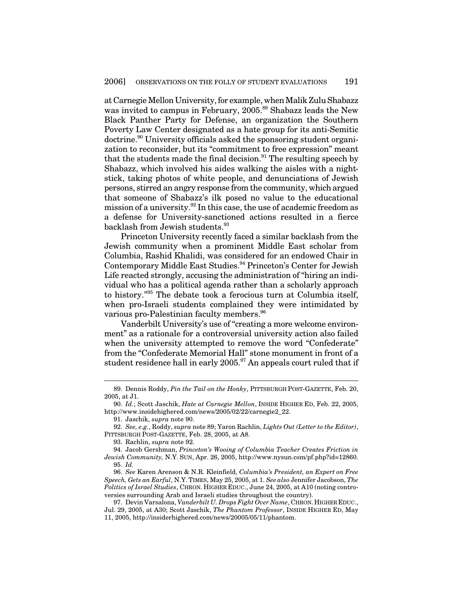at CarnegieMellon University,for example,whenMalik ZuluShabazz was invited to campus in February, 2005. <sup>89</sup> Shabazz leads the New Black Panther Party for Defense, an organization the Southern Poverty Law Center designated as a hate group for its anti-Semitic doctrine. <sup>90</sup> University officials asked the sponsoring student organization to reconsider, but its "commitment to free expression" meant that the students made the final decision.<sup>91</sup> The resulting speech by Shabazz, which involved his aides walking the aisles with a nightstick, taking photos of white people, and denunciations of Jewish persons, stirred an angry response from the community, which argued that someone of Shabazz's ilk posed no value to the educational mission of a university. 92 In this case, the use of academic freedom as a defense for University-sanctioned actions resulted in a fierce backlash from Jewish students. 93

Princeton University recently faced a similar backlash from the Jewish community when a prominent Middle East scholar from Columbia, Rashid Khalidi, was considered for an endowed Chair in Contemporary Middle East Studies. <sup>94</sup> Princeton's Center for Jewish Life reacted strongly, accusing the administration of "hiring an individual who has a political agenda rather than a scholarly approach to history." <sup>95</sup> The debate took a ferocious turn at Columbia itself, when pro-Israeli students complained they were intimidated by various pro-Palestinian faculty members. 96

Vanderbilt University's use of "creating a more welcome environment" as a rationale for a controversial university action also failed when the university attempted to remove the word "Confederate" from the "Confederate Memorial Hall" stone monument in front of a student residence hall in early 2005. <sup>97</sup> An appeals court ruled that if

93. Rachlin, *supra* note 92.

<sup>89.</sup> Dennis Roddy, *Pin the Tail on the Honky*, PITTSBURGH POST-GAZETTE, Feb. 20, 2005, at J1.

<sup>90.</sup> *Id.*; Scott Jaschik, *Hate at Carnegie Mellon*, INSIDE HIGHER ED, Feb. 22, 2005, http://www.insidehighered.com/news/2005/02/22/carnegie2\_22.

<sup>91.</sup> Jaschik, *supra* note 90.

<sup>92.</sup> *See, e.g.*, Roddy, *supra* note 89; Yaron Rachlin, *Lights Out (Letter to the Editor)*, PITTSBURGH POST-GAZETTE, Feb. 28, 2005, at A8.

<sup>94.</sup> Jacob Gershman, *Princeton's Wooing of Columbia Teacher Creates Friction in Jewish Community,* N.Y. SUN, Apr. 26, 2005, http://www.nysun.com/pf.php?id=12860. 95. *Id.*

<sup>96.</sup> *See* Karen Arenson & N.R. Kleinfield, *Columbia's President, an Expert on Free Speech, Gets an Earful*, N.Y.TIMES, May 25, 2005, at 1. *See also* Jennifer Jacobson, *The Politics of Israel Studies*, CHRON. HIGHER EDUC., June 24, 2005, at A10 (noting controversies surrounding Arab and Israeli studies throughout the country).

<sup>97.</sup> Devin Varsalona, *Vanderbilt U. Drops Fight Over Name*, CHRON.HIGHER EDUC., Jul. 29, 2005, at A30; Scott Jaschik, *The Phantom Professor*, INSIDE HIGHER ED, May 11, 2005, http://insiderhighered.com/news/20005/05/11/phantom.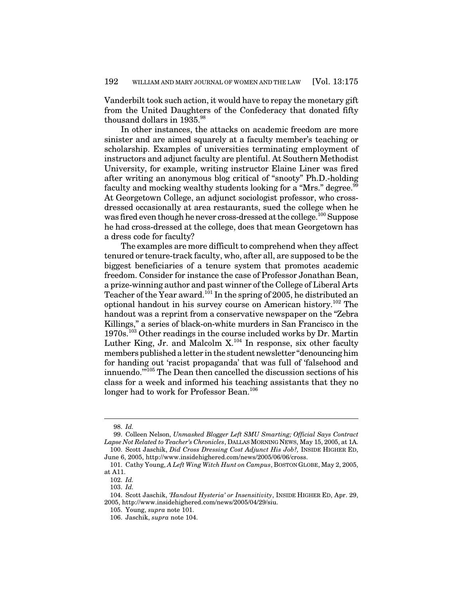Vanderbilt took such action, it would have to repay the monetary gift from the United Daughters of the Confederacy that donated fifty thousand dollars in 1935.<sup>98</sup>

In other instances, the attacks on academic freedom are more sinister and are aimed squarely at a faculty member's teaching or scholarship. Examples of universities terminating employment of instructors and adjunct faculty are plentiful. At Southern Methodist University, for example, writing instructor Elaine Liner was fired after writing an anonymous blog critical of "snooty" Ph.D.-holding faculty and mocking wealthy students looking for a "Mrs." degree.<sup>99</sup> At Georgetown College, an adjunct sociologist professor, who crossdressed occasionally at area restaurants, sued the college when he was fired even though he never cross-dressed at the college.<sup>100</sup> Suppose he had cross-dressed at the college, does that mean Georgetown has a dress code for faculty?

The examples are more difficult to comprehend when they affect tenured or tenure-track faculty, who, after all, are supposed to be the biggest beneficiaries of a tenure system that promotes academic freedom. Consider for instance the case of Professor Jonathan Bean, a prize-winning author and past winner ofthe College of Liberal Arts Teacher of the Year award. $^{101}$  In the spring of 2005, he distributed an optional handout in his survey course on American history. <sup>102</sup> The handout was a reprint from a conservative newspaper on the "Zebra Killings," a series of black-on-white murders in San Francisco in the 1970s. <sup>103</sup> Other readings in the course included works by Dr. Martin Luther King, Jr. and Malcolm  $X^{104}$  In response, six other faculty members published a letter in the student newsletter "denouncing him for handing out 'racist propaganda' that was full of 'falsehood and innuendo.'" <sup>105</sup> The Dean then cancelled the discussion sections of his class for a week and informed his teaching assistants that they no longer had to work for Professor Bean. 106

<sup>98.</sup> *Id.*

<sup>99.</sup> Colleen Nelson, *Unmasked Blogger Left SMU Smarting; Official Says Contract Lapse Not Related to Teacher's Chronicles*, DALLAS MORNING NEWS, May 15, 2005, at 1A. 100. Scott Jaschik, *Did Cross Dressing Cost Adjunct His Job?,* INSIDE HIGHER ED,

June 6, 2005, http://www.insidehighered.com/news/2005/06/06/cross. 101. Cathy Young, *A Left Wing Witch Hunt on Campus*, BOSTON GLOBE, May 2, 2005,

at A11. 102. *Id.*

<sup>103.</sup> *Id.*

<sup>104.</sup> Scott Jaschik, *'Handout Hysteria' or Insensitivity*, INSIDE HIGHER ED, Apr. 29, 2005, http://www.insidehighered.com/news/2005/04/29/siu.

<sup>105.</sup> Young, *supra* note 101.

<sup>106.</sup> Jaschik, *supra* note 104.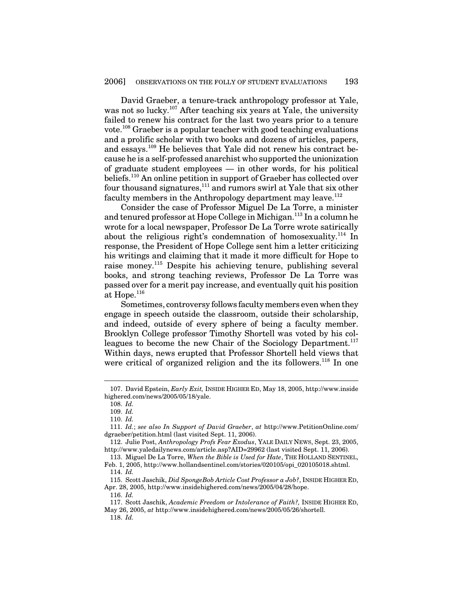David Graeber, a tenure-track anthropology professor at Yale, was not so lucky. <sup>107</sup> After teaching six years at Yale, the university failed to renew his contract for the last two years prior to a tenure vote. <sup>108</sup> Graeber is a popular teacher with good teaching evaluations and a prolific scholar with two books and dozens of articles, papers, and essays.<sup>109</sup> He believes that Yale did not renew his contract because he is a self-professed anarchist who supported the unionization of graduate student employees — in other words, for his political beliefs. <sup>110</sup> An online petition in support of Graeber has collected over four thousand signatures,<sup>111</sup> and rumors swirl at Yale that six other faculty members in the Anthropology department may leave.<sup>112</sup>

Consider the case of Professor Miguel De La Torre, a minister and tenured professor at Hope College in Michigan. 113 In a column he wrote for a local newspaper, Professor De La Torre wrote satirically about the religious right's condemnation of homosexuality.<sup>114</sup> In response, the President of Hope College sent him a letter criticizing his writings and claiming that it made it more difficult for Hope to raise money.<sup>115</sup> Despite his achieving tenure, publishing several books, and strong teaching reviews, Professor De La Torre was passed over for a merit pay increase, and eventually quit his position at  $\rm Hope.^{116}$ 

Sometimes, controversy follows faculty members even when they engage in speech outside the classroom, outside their scholarship, and indeed, outside of every sphere of being a faculty member. Brooklyn College professor Timothy Shortell was voted by his colleagues to become the new Chair of the Sociology Department.<sup>117</sup> Within days, news erupted that Professor Shortell held views that were critical of organized religion and the its followers.<sup>118</sup> In one

<sup>107.</sup> David Epstein, *Early Exit,* INSIDE HIGHER ED, May 18, 2005, http://www.inside highered.com/news/2005/05/18/yale.

<sup>108.</sup> *Id.*

<sup>109.</sup> *Id.*

<sup>110.</sup> *Id.*

<sup>111.</sup> *Id.*; *see also In Support of David Graeber*, *at* http://www.PetitionOnline.com/ dgraeber/petition.html (last visited Sept. 11, 2006).

<sup>112.</sup> Julie Post, *Anthropology Profs Fear Exodus*, YALE DAILY NEWS, Sept. 23, 2005, http://www.yaledailynews.com/article.asp?AID=29962 (last visited Sept. 11, 2006).

<sup>113.</sup> Miguel De La Torre, *When the Bible is Used for Hate*, THE HOLLAND SENTINEL, Feb. 1, 2005, http://www.hollandsentinel.com/stories/020105/opi\_020105018.shtml.

<sup>114.</sup> *Id.*

<sup>115.</sup> Scott Jaschik, *Did SpongeBob Article Cost Professor a Job?*, INSIDE HIGHER ED, Apr. 28, 2005, http://www.insidehighered.com/news/2005/04/28/hope.

<sup>116.</sup> *Id.*

<sup>117.</sup> Scott Jaschik, *Academic Freedom or Intolerance of Faith?,* INSIDE HIGHER ED, May 26, 2005, *at* http://www.insidehighered.com/news/2005/05/26/shortell.

<sup>118.</sup> *Id.*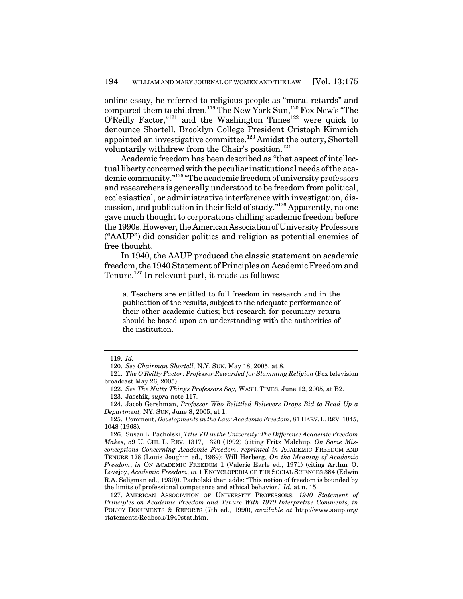online essay, he referred to religious people as "moral retards" and compared them to children.<sup>119</sup> The New York Sun,<sup>120</sup> Fox New's "The O'Reilly Factor," $121$  and the Washington Times $122$  were quick to denounce Shortell. Brooklyn College President Cristoph Kimmich appointed an investigative committee.<sup>123</sup> Amidst the outcry, Shortell voluntarily withdrew from the Chair's position. 124

Academic freedom has been described as "that aspect of intellectual liberty concerned with the peculiar institutional needs of the academic community." 125 "The academic freedom of university professors and researchers is generally understood to be freedom from political, ecclesiastical, or administrative interference with investigation, discussion, and publication in their field of study." <sup>126</sup> Apparently, no one gave much thought to corporations chilling academic freedom before the 1990s. However, the American Association of University Professors ("AAUP") did consider politics and religion as potential enemies of free thought.

In 1940, the AAUP produced the classic statement on academic freedom, the 1940 Statement of Principles on Academic Freedom and Tenure.<sup>127</sup> In relevant part, it reads as follows:

a. Teachers are entitled to full freedom in research and in the publication of the results, subject to the adequate performance of their other academic duties; but research for pecuniary return should be based upon an understanding with the authorities of the institution.

<sup>119.</sup> *Id.*

<sup>120.</sup> *See Chairman Shortell,* N.Y. SUN, May 18, 2005, at 8.

<sup>121.</sup> *The O'Reilly Factor: Professor Rewarded for Slamming Religion* (Fox television broadcast May 26, 2005).

<sup>122.</sup> *See The Nutty Things Professors Say,* WASH. TIMES, June 12, 2005, at B2.

<sup>123.</sup> Jaschik, *supra* note 117.

<sup>124.</sup> Jacob Gershman, *Professor Who Belittled Believers Drops Bid to Head Up a Department,* NY. SUN, June 8, 2005, at 1.

<sup>125.</sup> Comment, *Developments in the Law: Academic Freedom*, 81 HARV.L. REV. 1045, 1048 (1968).

<sup>126.</sup> SusanL. Pacholski, *Title VII in the University:The Difference Academic Freedom Makes*, 59 U. CHI. L. REV. 1317, 1320 (1992) (citing Fritz Malchup, *On Some Misconceptions Concerning Academic Freedom*, *reprinted in* ACADEMIC FREEDOM AND TENURE 178 (Louis Joughin ed., 1969); Will Herberg, *On the Meaning of Academic Freedom*, *in* ON ACADEMIC FREEDOM 1 (Valerie Earle ed., 1971) (citing Arthur O. Lovejoy, *Academic Freedom*, *in* 1 ENCYCLOPEDIA OF THE SOCIAL SCIENCES 384 (Edwin R.A. Seligman ed., 1930)). Pacholski then adds: "This notion of freedom is bounded by the limits of professional competence and ethical behavior." *Id.* at n. 15.

<sup>127.</sup> AMERICAN ASSOCIATION OF UNIVERSITY PROFESSORS, *1940 Statement of Principles on Academic Freedom and Tenure With 1970 Interpretive Comments, in* POLICY DOCUMENTS & REPORTS (7th ed., 1990), *available at* http://www.aaup.org/ statements/Redbook/1940stat.htm.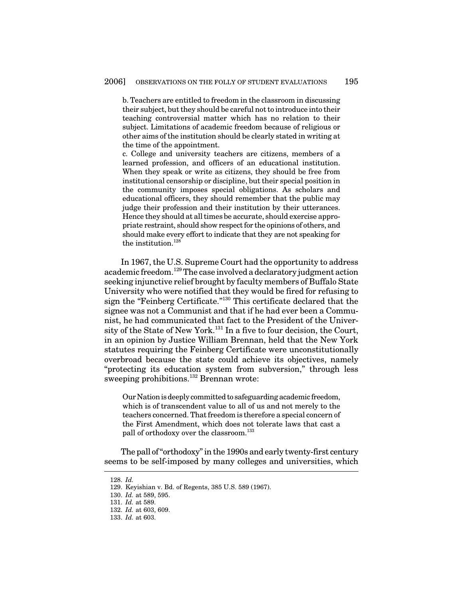b. Teachers are entitled to freedom in the classroom in discussing their subject, but they should be careful not to introduce into their teaching controversial matter which has no relation to their subject. Limitations of academic freedom because of religious or other aims of the institution should be clearly stated in writing at the time of the appointment.

c. College and university teachers are citizens, members of a learned profession, and officers of an educational institution. When they speak or write as citizens, they should be free from institutional censorship or discipline, but their special position in the community imposes special obligations. As scholars and educational officers, they should remember that the public may judge their profession and their institution by their utterances. Hence they should at all times be accurate, should exercise appropriate restraint, should show respect for the opinions of others, and should make every effort to indicate that they are not speaking for the institution. 128

In 1967, the U.S. Supreme Court had the opportunity to address academic freedom.<sup>129</sup> The case involved a declaratory judgment action seeking injunctive relief brought by faculty members of Buffalo State University who were notified that they would be fired for refusing to sign the "Feinberg Certificate." <sup>130</sup> This certificate declared that the signee was not a Communist and that if he had ever been a Communist, he had communicated that fact to the President of the University of the State of New York.<sup>131</sup> In a five to four decision, the Court, in an opinion by Justice William Brennan, held that the New York statutes requiring the Feinberg Certificate were unconstitutionally overbroad because the state could achieve its objectives, namely "protecting its education system from subversion," through less sweeping prohibitions. <sup>132</sup> Brennan wrote:

Our Nation is deeply committed to safeguarding academic freedom, which is of transcendent value to all of us and not merely to the teachers concerned. That freedom is therefore a special concern of the First Amendment, which does not tolerate laws that cast a pall of orthodoxy over the classroom. 133

The pall of "orthodoxy" in the 1990s and early twenty-first century seems to be self-imposed by many colleges and universities, which

<sup>128.</sup> *Id.*

<sup>129.</sup> Keyishian v. Bd. of Regents, 385 U.S. 589 (1967).

<sup>130.</sup> *Id.* at 589, 595.

<sup>131.</sup> *Id.* at 589.

<sup>132.</sup> *Id.* at 603, 609.

<sup>133.</sup> *Id.* at 603.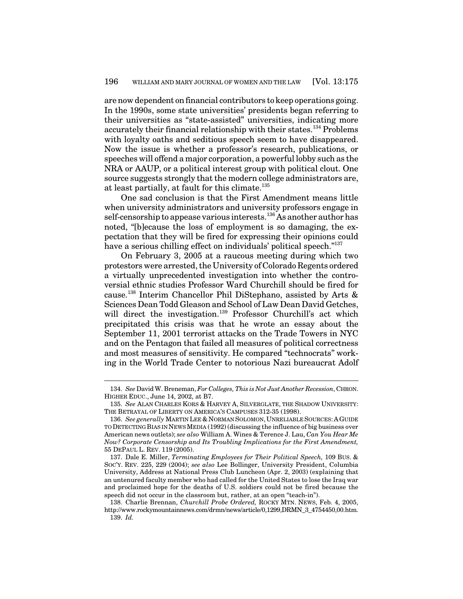are now dependent onfinancial contributors to keep operations going. In the 1990s, some state universities' presidents began referring to their universities as "state-assisted" universities, indicating more accurately their financial relationship with their states. <sup>134</sup> Problems with loyalty oaths and seditious speech seem to have disappeared. Now the issue is whether a professor's research, publications, or speeches will offend a major corporation, a powerful lobby such as the NRA or AAUP, or a political interest group with political clout. One source suggests strongly that the modern college administrators are, at least partially, at fault for this climate. 135

One sad conclusion is that the First Amendment means little when university administrators and university professors engage in self-censorship to appease various interests. <sup>136</sup> As another author has noted, "[b]ecause the loss of employment is so damaging, the expectation that they will be fired for expressing their opinions could have a serious chilling effect on individuals' political speech."<sup>137</sup>

On February 3, 2005 at a raucous meeting during which two protestors were arrested, the University of Colorado Regents ordered a virtually unprecedented investigation into whether the controversial ethnic studies Professor Ward Churchill should be fired for cause. 138 Interim Chancellor Phil DiStephano, assisted by Arts & Sciences Dean Todd Gleason and School of Law Dean David Getches, will direct the investigation.<sup>139</sup> Professor Churchill's act which precipitated this crisis was that he wrote an essay about the September 11, 2001 terrorist attacks on the Trade Towers in NYC and on the Pentagon that failed all measures of political correctness and most measures of sensitivity. He compared "technocrats" working in the World Trade Center to notorious Nazi bureaucrat Adolf

<sup>134.</sup> *See* David W. Breneman, *For Colleges, This is Not Just Another Recession*, CHRON. HIGHER EDUC., June 14, 2002, at B7.

<sup>135.</sup> *See* ALAN CHARLES KORS & HARVEY A, SILVERGLATE, THE SHADOW UNIVERSITY: THE BETRAYAL OF LIBERTY ON AMERICA'S CAMPUSES 312-35 (1998).

<sup>136.</sup> *See generally* MARTIN LEE & NORMAN SOLOMON, UNRELIABLE SOURCES: AGUIDE TO DETECTING BIAS IN NEWSMEDIA (1992) (discussing the influence of big business over American news outlets); *see also* William A. Wines & Terence J. Lau, *Can You Hear Me Now? Corporate Censorship and Its Troubling Implications for the First Amendment,* 55 DEPAUL L. REV. 119 (2005).

<sup>137.</sup> Dale E. Miller, *Terminating Employees for Their Political Speech,* 109 BUS. & SOC'Y. REV. 225, 229 (2004); *see also* Lee Bollinger, University President, Columbia University, Address at National Press Club Luncheon (Apr. 2, 2003) (explaining that an untenured faculty member who had called for the United States to lose the Iraq war and proclaimed hope for the deaths of U.S. soldiers could not be fired because the speech did not occur in the classroom but, rather, at an open "teach-in").

<sup>138.</sup> Charlie Brennan, *Churchill Probe Ordered,* ROCKY MTN. NEWS, Feb. 4, 2005, http://www.rockymountainnews.com/drmn/news/article/0,1299,DRMN\_3\_4754450,00.htm. 139. *Id.*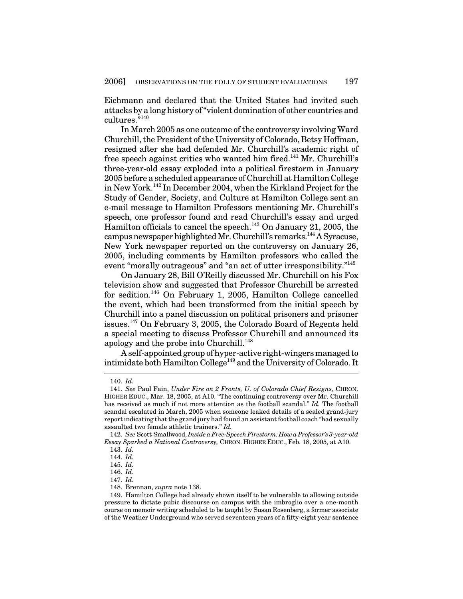Eichmann and declared that the United States had invited such attacks by a long history of"violent domination of other countries and  $\mathrm{cutures.}^{n140}$ 

In March 2005 as one outcome of the controversy involving Ward Churchill, the President of the University of Colorado, Betsy Hoffman, resigned after she had defended Mr. Churchill's academic right of free speech against critics who wanted him fired.<sup>141</sup> Mr. Churchill's three-year-old essay exploded into a political firestorm in January 2005 before a scheduled appearance of Churchill at Hamilton College in New York.<sup>142</sup> In December 2004, when the Kirkland Project for the Study of Gender, Society, and Culture at Hamilton College sent an e-mail message to Hamilton Professors mentioning Mr. Churchill's speech, one professor found and read Churchill's essay and urged Hamilton officials to cancel the speech.<sup>143</sup> On January 21, 2005, the campus newspaper highlighted Mr. Churchill's remarks.<sup>144</sup> A Syracuse, New York newspaper reported on the controversy on January 26, 2005, including comments by Hamilton professors who called the event "morally outrageous" and "an act of utter irresponsibility."<sup>145</sup>

On January 28, Bill O'Reilly discussed Mr. Churchill on his Fox television show and suggested that Professor Churchill be arrested for sedition. <sup>146</sup> On February 1, 2005, Hamilton College cancelled the event, which had been transformed from the initial speech by Churchill into a panel discussion on political prisoners and prisoner issues. <sup>147</sup> On February 3, 2005, the Colorado Board of Regents held a special meeting to discuss Professor Churchill and announced its apology and the probe into Churchill.<sup>148</sup>

A self-appointed group of hyper-active right-wingers managed to intimidate both Hamilton College 149 and the University of Colorado. It

<sup>140.</sup> *Id.*

<sup>141.</sup> *See* Paul Fain, *Under Fire on 2 Fronts, U. of Colorado Chief Resigns*, CHRON. HIGHER EDUC., Mar. 18, 2005, at A10. "The continuing controversy over Mr. Churchill has received as much if not more attention as the football scandal." *Id.* The football scandal escalated in March, 2005 when someone leaked details of a sealed grand-jury report indicating that the grand jury had found an assistant football coach "had sexually assaulted two female athletic trainers." *Id.*

<sup>142.</sup> *See* Scott Smallwood, *Inside aFree-SpeechFirestorm: HowaProfessor's 3-year-old Essay Sparked a National Controversy,* CHRON. HIGHER EDUC., Feb. 18, 2005, at A10.

<sup>143.</sup> *Id.*

<sup>144.</sup> *Id.*

<sup>145.</sup> *Id.*

<sup>146.</sup> *Id.*

<sup>147.</sup> *Id.*

<sup>148.</sup> Brennan, *supra* note 138.

<sup>149.</sup> Hamilton College had already shown itself to be vulnerable to allowing outside pressure to dictate pubic discourse on campus with the imbroglio over a one-month course on memoir writing scheduled to be taught by Susan Rosenberg, a former associate of the Weather Underground who served seventeen years of a fifty-eight year sentence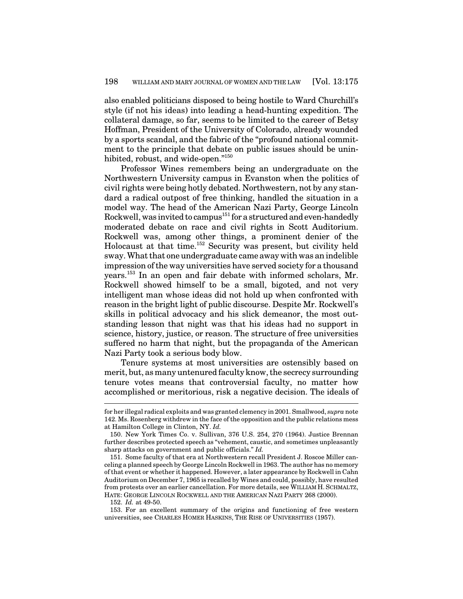also enabled politicians disposed to being hostile to Ward Churchill's style (if not his ideas) into leading a head-hunting expedition. The collateral damage, so far, seems to be limited to the career of Betsy Hoffman, President of the University of Colorado, already wounded by a sports scandal, and the fabric of the "profound national commitment to the principle that debate on public issues should be uninhibited, robust, and wide-open."<sup>150</sup>

Professor Wines remembers being an undergraduate on the Northwestern University campus in Evanston when the politics of civil rights were being hotly debated. Northwestern, not by any standard a radical outpost of free thinking, handled the situation in a model way. The head of the American Nazi Party, George Lincoln Rockwell, was invited to campus<sup>151</sup> for a structured and even-handedly moderated debate on race and civil rights in Scott Auditorium. Rockwell was, among other things, a prominent denier of the Holocaust at that time. <sup>152</sup> Security was present, but civility held sway. What that one undergraduate came away with was an indelible impression ofthe way universities have served society for a thousand years. 153 In an open and fair debate with informed scholars, Mr. Rockwell showed himself to be a small, bigoted, and not very intelligent man whose ideas did not hold up when confronted with reason in the bright light of public discourse. Despite Mr. Rockwell's skills in political advocacy and his slick demeanor, the most outstanding lesson that night was that his ideas had no support in science, history, justice, or reason. The structure of free universities suffered no harm that night, but the propaganda of the American Nazi Party took a serious body blow.

Tenure systems at most universities are ostensibly based on merit, but, as many untenured faculty know, the secrecy surrounding tenure votes means that controversial faculty, no matter how accomplished or meritorious, risk a negative decision. The ideals of

for her illegal radical exploits and was granted clemency in 2001. Smallwood, *supra* note 142. Ms. Rosenberg withdrew in the face of the opposition and the public relations mess at Hamilton College in Clinton, NY. *Id.*

<sup>150.</sup> New York Times Co. v. Sullivan, 376 U.S. 254, 270 (1964). Justice Brennan further describes protected speech as "vehement, caustic, and sometimes unpleasantly sharp attacks on government and public officials." *Id.*

<sup>151.</sup> Some faculty of that era at Northwestern recall President J. Roscoe Miller canceling a planned speech by George Lincoln Rockwell in 1963. The author has no memory of that event or whether it happened. However, a later appearance by Rockwell in Cahn Auditorium on December 7, 1965 is recalled by Wines and could, possibly, have resulted from protests over an earlier cancellation. For more details, see WILLIAM H. SCHMALTZ, HATE: GEORGE LINCOLN ROCKWELL AND THE AMERICAN NAZI PARTY 268 (2000).

<sup>152.</sup> *Id.* at 49-50.

<sup>153.</sup> For an excellent summary of the origins and functioning of free western universities, see CHARLES HOMER HASKINS, THE RISE OF UNIVERSITIES (1957).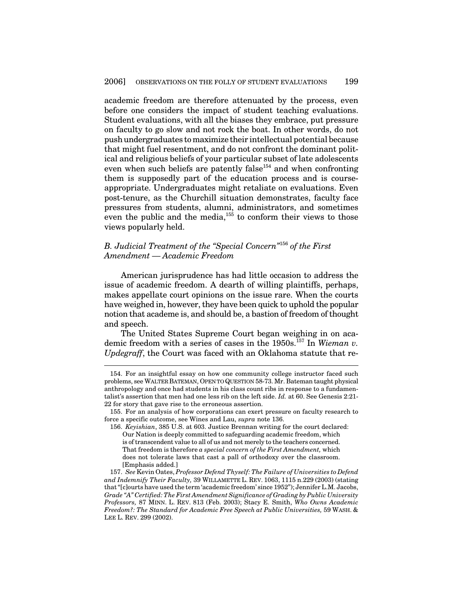academic freedom are therefore attenuated by the process, even before one considers the impact of student teaching evaluations. Student evaluations, with all the biases they embrace, put pressure on faculty to go slow and not rock the boat. In other words, do not pushundergraduates tomaximize their intellectual potential because that might fuel resentment, and do not confront the dominant political and religious beliefs of your particular subset of late adolescents even when such beliefs are patently false<sup>154</sup> and when confronting them is supposedly part of the education process and is courseappropriate. Undergraduates might retaliate on evaluations. Even post-tenure, as the Churchill situation demonstrates, faculty face pressures from students, alumni, administrators, and sometimes even the public and the media,<sup>155</sup> to conform their views to those views popularly held.

# *B. Judicial Treatment of the "Special Concern"* 156 *of the First Amendment — Academic Freedom*

American jurisprudence has had little occasion to address the issue of academic freedom. A dearth of willing plaintiffs, perhaps, makes appellate court opinions on the issue rare. When the courts have weighed in, however, they have been quick to uphold the popular notion that academe is, and should be, a bastion of freedom of thought and speech.

The United States Supreme Court began weighing in on academic freedom with a series of cases in the 1950s. 157 In *Wieman v. Updegraff*, the Court was faced with an Oklahoma statute that re-

<sup>154.</sup> For an insightful essay on how one community college instructor faced such problems, see WALTER BATEMAN, OPEN TO QUESTION 58-73. Mr. Bateman taught physical anthropology and once had students in his class count ribs in response to a fundamentalist's assertion that men had one less rib on the left side. *Id.* at 60. See Genesis 2:21- 22 for story that gave rise to the erroneous assertion.

<sup>155.</sup> For an analysis of how corporations can exert pressure on faculty research to force a specific outcome, see Wines and Lau, *supra* note 136.

<sup>156.</sup> *Keyishian*, 385 U.S. at 603. Justice Brennan writing for the court declared: Our Nation is deeply committed to safeguarding academic freedom, which is of transcendent value to all of us and not merely to the teachers concerned. That freedom is therefore *a special concern of the First Amendment,* which does not tolerate laws that cast a pall of orthodoxy over the classroom. [Emphasis added.]

<sup>157.</sup> *See* Kevin Oates, *Professor Defend Thyself: The Failure of Universities to Defend and Indemnify Their Faculty,* 39 WILLAMETTE L. REV. 1063, 1115 n.229 (2003) (stating that"[c]ourts have used the term 'academic freedom' since 1952"); Jennifer L.M. Jacobs, *Grade "A" Certified: The First Amendment Significance of Grading by Public University Professors,* 87 MINN. L. REV. 813 (Feb. 2003); Stacy E. Smith, *Who Owns Academic Freedom?: The Standard for Academic Free Speech at Public Universities,* 59 WASH. & LEE L. REV. 299 (2002).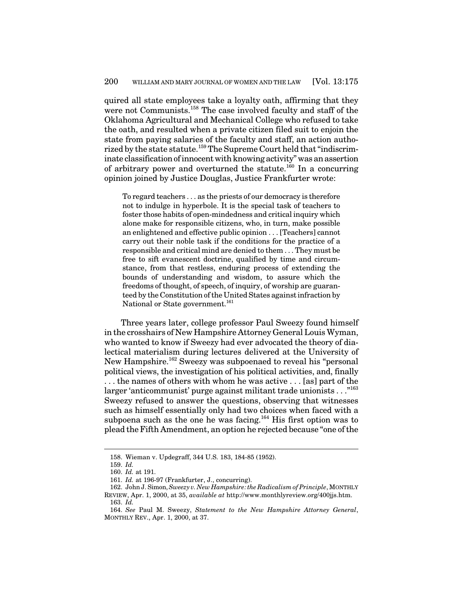quired all state employees take a loyalty oath, affirming that they were not Communists.<sup>158</sup> The case involved faculty and staff of the Oklahoma Agricultural and Mechanical College who refused to take the oath, and resulted when a private citizen filed suit to enjoin the state from paying salaries of the faculty and staff, an action authorized by the state statute. <sup>159</sup> The Supreme Court held that"indiscriminate classification of innocent with knowing activity" was an assertion of arbitrary power and overturned the statute.<sup>160</sup> In a concurring opinion joined by Justice Douglas, Justice Frankfurter wrote:

To regard teachers . . . as the priests of our democracy is therefore not to indulge in hyperbole. It is the special task of teachers to foster those habits of open-mindedness and critical inquiry which alone make for responsible citizens, who, in turn, make possible an enlightened and effective public opinion . . . [Teachers] cannot carry out their noble task if the conditions for the practice of a responsible and critical mind are denied to them . . . They must be free to sift evanescent doctrine, qualified by time and circumstance, from that restless, enduring process of extending the bounds of understanding and wisdom, to assure which the freedoms of thought, of speech, of inquiry, of worship are guaranteed by the Constitution of the United States against infraction by National or State government.<sup>161</sup>

Three years later, college professor Paul Sweezy found himself in the crosshairs of New Hampshire Attorney General Louis Wyman, who wanted to know if Sweezy had ever advocated the theory of dialectical materialism during lectures delivered at the University of New Hampshire. <sup>162</sup> Sweezy was subpoenaed to reveal his "personal political views, the investigation of his political activities, and, finally . . . the names of others with whom he was active . . . [as] part of the larger 'anticommunist' purge against militant trade unionists . . ." 163 Sweezy refused to answer the questions, observing that witnesses such as himself essentially only had two choices when faced with a subpoena such as the one he was facing.<sup>164</sup> His first option was to plead theFifth Amendment, an option he rejected because "one ofthe

<sup>158.</sup> Wieman v. Updegraff, 344 U.S. 183, 184-85 (1952).

<sup>159.</sup> *Id.*

<sup>160.</sup> *Id.* at 191.

<sup>161.</sup> *Id.* at 196-97 (Frankfurter, J., concurring).

<sup>162.</sup> John J. Simon,*Sweezy v. New Hampshire:the Radicalism of Principle*, MONTHLY REVIEW, Apr. 1, 2000, at 35, *available at* http://www.monthlyreview.org/400jjs.htm. 163. *Id.*

<sup>164.</sup> *See* Paul M. Sweezy, *Statement to the New Hampshire Attorney General*, MONTHLY REV., Apr. 1, 2000, at 37.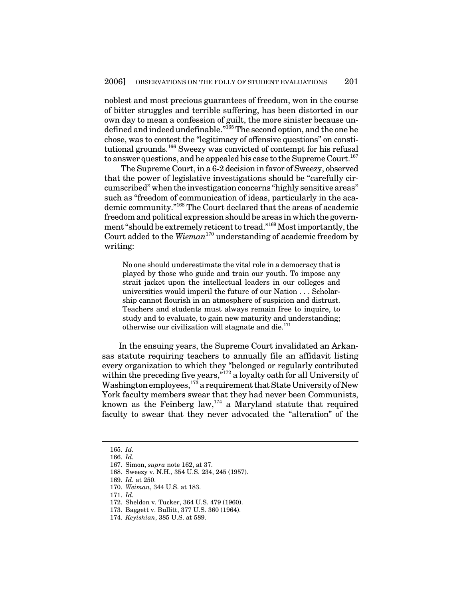noblest and most precious guarantees of freedom, won in the course of bitter struggles and terrible suffering, has been distorted in our own day to mean a confession of guilt, the more sinister because undefined and indeed undefinable."<sup>165</sup> The second option, and the one he chose, was to contest the "legitimacy of offensive questions" on constitutional grounds.<sup>166</sup> Sweezy was convicted of contempt for his refusal to answer questions, and he appealed his case to the Supreme Court.<sup>167</sup>

The Supreme Court, in a 6-2 decision in favor of Sweezy, observed that the power of legislative investigations should be "carefully circumscribed" when the investigation concerns "highly sensitive areas" such as "freedom of communication of ideas, particularly in the academic community." <sup>168</sup> The Court declared that the areas of academic freedom and political expression should be areas in which the government "should be extremely reticent to tread."<sup>169</sup> Most importantly, the Court added to the *Wieman* <sup>170</sup> understanding of academic freedom by writing:

No one should underestimate the vital role in a democracy thatis played by those who guide and train our youth. To impose any strait jacket upon the intellectual leaders in our colleges and universities would imperil the future of our Nation . . . Scholarship cannot flourish in an atmosphere of suspicion and distrust. Teachers and students must always remain free to inquire, to study and to evaluate, to gain new maturity and understanding; otherwise our civilization will stagnate and die.<sup>171</sup>

In the ensuing years, the Supreme Court invalidated an Arkansas statute requiring teachers to annually file an affidavit listing every organization to which they "belonged or regularly contributed within the preceding five years,"<sup>172</sup> a loyalty oath for all University of Washington employees,<sup>173</sup> a requirement that State University of New York faculty members swear that they had never been Communists, known as the Feinberg law,<sup>174</sup> a Maryland statute that required faculty to swear that they never advocated the "alteration" of the

<sup>165.</sup> *Id.*

<sup>166.</sup> *Id.*

<sup>167.</sup> Simon, *supra* note 162, at 37.

<sup>168.</sup> Sweezy v. N.H., 354 U.S. 234, 245 (1957).

<sup>169.</sup> *Id.* at 250.

<sup>170.</sup> *Weiman*, 344 U.S. at 183.

<sup>171.</sup> *Id.*

<sup>172.</sup> Sheldon v. Tucker, 364 U.S. 479 (1960).

<sup>173.</sup> Baggett v. Bullitt, 377 U.S. 360 (1964).

<sup>174.</sup> *Keyishian*, 385 U.S. at 589.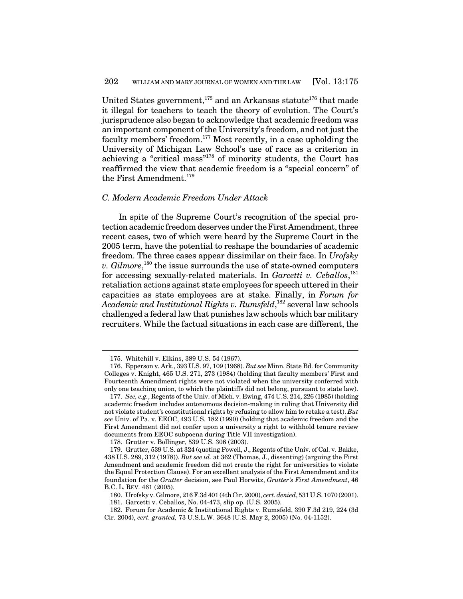United States government,<sup>175</sup> and an Arkansas statute<sup>176</sup> that made it illegal for teachers to teach the theory of evolution. The Court's jurisprudence also began to acknowledge that academic freedom was an important component of the University's freedom, and not just the faculty members' freedom. <sup>177</sup> Most recently, in a case upholding the University of Michigan Law School's use of race as a criterion in achieving a "critical mass"<sup>178</sup> of minority students, the Court has reaffirmed the view that academic freedom is a "special concern" of the First Amendment. 179

#### *C. Modern Academic Freedom Under Attack*

In spite of the Supreme Court's recognition of the special protection academic freedom deserves under the First Amendment, three recent cases, two of which were heard by the Supreme Court in the 2005 term, have the potential to reshape the boundaries of academic freedom. The three cases appear dissimilar on their face. In *Urofsky v. Gilmore*, 180 the issue surrounds the use of state-owned computers for accessing sexually-related materials. In *Garcetti v. Ceballos*, 181 retaliation actions against state employees for speech uttered in their capacities as state employees are at stake. Finally, in *Forum for Academic and Institutional Rights v. Rumsfeld*, 182 several law schools challenged a federal law that punishes law schools which bar military recruiters. While the factual situations in each case are different, the

178. Grutter v. Bollinger, 539 U.S. 306 (2003).

<sup>175.</sup> Whitehill v. Elkins, 389 U.S. 54 (1967).

<sup>176.</sup> Epperson v. Ark., 393 U.S. 97, 109 (1968). *But see* Minn. State Bd. for Community Colleges v. Knight, 465 U.S. 271, 273 (1984) (holding that faculty members' First and Fourteenth Amendment rights were not violated when the university conferred with only one teaching union, to which the plaintiffs did not belong, pursuant to state law).

<sup>177.</sup> *See, e.g.*, Regents of the Univ. of Mich. v. Ewing, 474 U.S. 214, 226 (1985) (holding academic freedom includes autonomous decision-making in ruling that University did not violate student's constitutional rights by refusing to allow him to retake a test). *But see* Univ. of Pa. v. EEOC, 493 U.S. 182 (1990) (holding that academic freedom and the First Amendment did not confer upon a university a right to withhold tenure review documents from EEOC subpoena during Title VII investigation).

<sup>179.</sup> Grutter, 539 U.S. at 324 (quoting Powell, J., Regents of the Univ. of Cal. v. Bakke, 438 U.S. 289, 312 (1978)). *But see id.* at 362 (Thomas, J., dissenting) (arguing the First Amendment and academic freedom did not create the right for universities to violate the Equal Protection Clause). For an excellent analysis of the First Amendment and its foundation for the *Grutter* decision, see Paul Horwitz, *Grutter's First Amendment*, 46 B.C. L. REV. 461 (2005).

<sup>180.</sup> Urofsky v. Gilmore, 216F.3d 401 (4th Cir. 2000), *cert. denied*, 531 U.S. 1070 (2001).

<sup>181.</sup> Garcetti v. Ceballos, No. 04-473, slip op. (U.S. 2005).

<sup>182.</sup> Forum for Academic & Institutional Rights v. Rumsfeld, 390 F.3d 219, 224 (3d Cir. 2004), *cert. granted,* 73 U.S.L.W. 3648 (U.S. May 2, 2005) (No. 04-1152).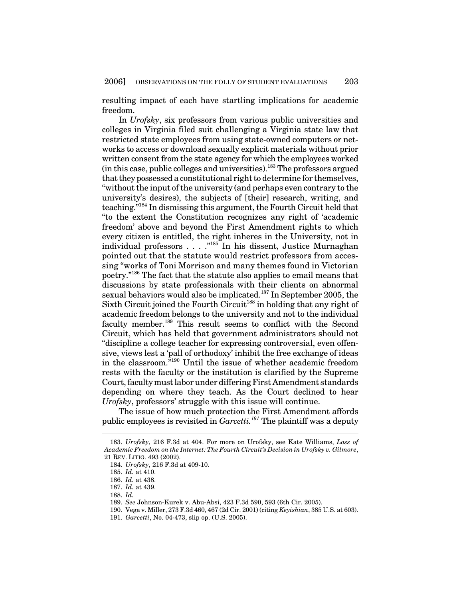resulting impact of each have startling implications for academic freedom.

In *Urofsky*, six professors from various public universities and colleges in Virginia filed suit challenging a Virginia state law that restricted state employees from using state-owned computers or networks to access or download sexually explicit materials without prior written consent from the state agency for which the employees worked (in this case, public colleges and universities). <sup>183</sup> The professors argued that they possessed a constitutional right to determine for themselves, "without the input of the university (and perhaps even contrary to the university's desires), the subjects of [their] research, writing, and teaching."<sup>184</sup> In dismissing this argument, the Fourth Circuit held that "to the extent the Constitution recognizes any right of 'academic freedom' above and beyond the First Amendment rights to which every citizen is entitled, the right inheres in the University, not in individual professors . . . . "<sup>185</sup> In his dissent, Justice Murnaghan pointed out that the statute would restrict professors from accessing "works of Toni Morrison and many themes found in Victorian poetry." <sup>186</sup> The fact that the statute also applies to email means that discussions by state professionals with their clients on abnormal sexual behaviors would also be implicated.<sup>187</sup> In September 2005, the Sixth Circuit joined the Fourth Circuit<sup>188</sup> in holding that any right of academic freedom belongs to the university and not to the individual faculty member.<sup>189</sup> This result seems to conflict with the Second Circuit, which has held that government administrators should not "discipline a college teacher for expressing controversial, even offensive, views lest a 'pall of orthodoxy' inhibit the free exchange of ideas in the classroom." <sup>190</sup> Until the issue of whether academic freedom rests with the faculty or the institution is clarified by the Supreme Court, faculty must labor under differing First Amendment standards depending on where they teach. As the Court declined to hear *Urofsky*, professors' struggle with this issue will continue.

The issue of how much protection the First Amendment affords public employees is revisited in *Garcetti. <sup>191</sup>* The plaintiff was a deputy

<sup>183.</sup> *Urofsky*, 216 F.3d at 404. For more on Urofsky, see Kate Williams, *Loss of Academic Freedom on the Internet: The Fourth Circuit's Decision in Urofsky v. Gilmore*, 21 REV. LITIG. 493 (2002).

<sup>184.</sup> *Urofsky*, 216 F.3d at 409-10.

<sup>185.</sup> *Id.* at 410.

<sup>186.</sup> *Id.* at 438.

<sup>187.</sup> *Id.* at 439.

<sup>188.</sup> *Id.*

<sup>189.</sup> *See* Johnson-Kurek v. Abu-Absi, 423 F.3d 590, 593 (6th Cir. 2005).

<sup>190.</sup> Vega v. Miller, 273 F.3d 460, 467 (2d Cir. 2001) (citing *Keyishian*, 385 U.S. at 603).

<sup>191.</sup> *Garcetti*, No. 04-473, slip op. (U.S. 2005).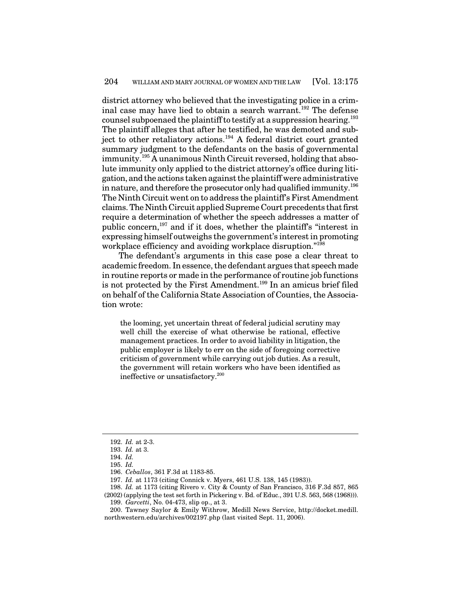district attorney who believed that the investigating police in a criminal case may have lied to obtain a search warrant. <sup>192</sup> The defense counsel subpoenaed the plaintiff to testify at a suppression hearing.  $^{193}$ The plaintiff alleges that after he testified, he was demoted and subject to other retaliatory actions. <sup>194</sup> A federal district court granted summary judgment to the defendants on the basis of governmental immunity. <sup>195</sup> A unanimous Ninth Circuit reversed, holding that absolute immunity only applied to the district attorney's office during litigation, and the actions taken against the plaintiff were administrative in nature, and therefore the prosecutor only had qualified immunity. $^{196}$ The Ninth Circuit went on to address the plaintiff's First Amendment claims. The Ninth Circuit applied Supreme Court precedents that first require a determination of whether the speech addresses a matter of public concern,<sup>197</sup> and if it does, whether the plaintiff's "interest in expressing himself outweighs the government's interestin promoting workplace efficiency and avoiding workplace disruption."<sup>198</sup>

The defendant's arguments in this case pose a clear threat to academic freedom. In essence, the defendant argues that speech made in routine reports or made in the performance of routine job functions is not protected by the First Amendment.<sup>199</sup> In an amicus brief filed on behalf of the California State Association of Counties, the Association wrote:

the looming, yet uncertain threat of federal judicial scrutiny may well chill the exercise of what otherwise be rational, effective management practices. In order to avoid liability in litigation, the public employer is likely to err on the side of foregoing corrective criticism of government while carrying out job duties. As a result, the government will retain workers who have been identified as ineffective or unsatisfactory. 200

<sup>192.</sup> *Id.* at 2-3.

<sup>193.</sup> *Id.* at 3.

<sup>194.</sup> *Id.*

<sup>195.</sup> *Id.*

<sup>196.</sup> *Ceballos*, 361 F.3d at 1183-85.

<sup>197.</sup> *Id.* at 1173 (citing Connick v. Myers, 461 U.S. 138, 145 (1983)).

<sup>198.</sup> *Id.* at 1173 (citing Rivero v. City & County of San Francisco, 316 F.3d 857, 865 (2002) (applying the test set forth in Pickering v. Bd. of Educ., 391 U.S. 563, 568 (1968))).

<sup>199.</sup> *Garcetti*, No. 04-473, slip op., at 3.

<sup>200.</sup> Tawney Saylor & Emily Withrow, Medill News Service, http://docket.medill. northwestern.edu/archives/002197.php (last visited Sept. 11, 2006).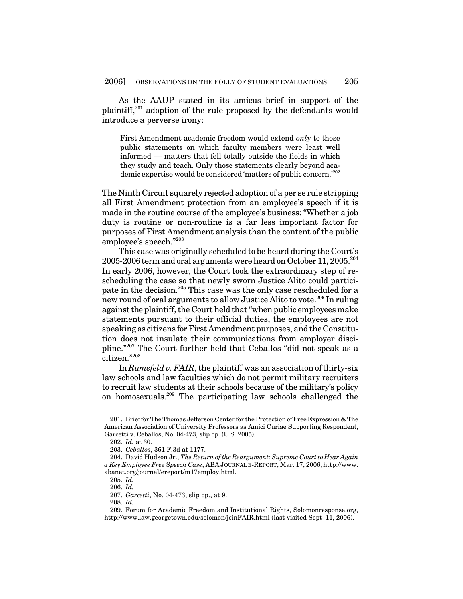As the AAUP stated in its amicus brief in support of the plaintiff,<sup>201</sup> adoption of the rule proposed by the defendants would introduce a perverse irony:

First Amendment academic freedom would extend *only* to those public statements on which faculty members were least well informed — matters that fell totally outside the fields in which they study and teach. Only those statements clearly beyond academic expertise would be considered 'matters of public concern.' 202

The Ninth Circuit squarely rejected adoption of a per se rule stripping all First Amendment protection from an employee's speech if it is made in the routine course of the employee's business: "Whether a job duty is routine or non-routine is a far less important factor for purposes of First Amendment analysis than the content of the public employee's speech." 203

This case was originally scheduled to be heard during the Court's  $2005$ - $2006$  term and oral arguments were heard on October  $11,2005.$   $^{\scriptscriptstyle 204}$ In early 2006, however, the Court took the extraordinary step of rescheduling the case so that newly sworn Justice Alito could participate in the decision. <sup>205</sup> This case was the only case rescheduled for a new round of oral arguments to allow Justice Alito to vote. 206 In ruling against the plaintiff, the Court held that "when public employees make statements pursuant to their official duties, the employees are not speaking as citizens for First Amendment purposes, and the Constitution does not insulate their communications from employer discipline." <sup>207</sup> The Court further held that Ceballos "did not speak as a citizen." 208

In *Rumsfeld v. FAIR*, the plaintiff was an association of thirty-six law schools and law faculties which do not permit military recruiters to recruit law students at their schools because of the military's policy on homosexuals. <sup>209</sup> The participating law schools challenged the

<sup>201.</sup> Brieffor The Thomas Jefferson Center for the ProtectionofFree Expression & The American Association of University Professors as Amici Curiae Supporting Respondent, Garcetti v. Ceballos, No. 04-473, slip op. (U.S. 2005).

<sup>202.</sup> *Id.* at 30.

<sup>203.</sup> *Ceballos*, 361 F.3d at 1177.

<sup>204.</sup> David Hudson Jr., *The Return of the Reargument: Supreme Court to Hear Again a Key Employee Free Speech Case*, ABA JOURNAL E-REPORT, Mar. 17, 2006, http://www. abanet.org/journal/ereport/m17employ.html.

<sup>205.</sup> *Id.*

<sup>206.</sup> *Id.*

<sup>207.</sup> *Garcetti*, No. 04-473, slip op., at 9.

<sup>208.</sup> *Id.*

<sup>209.</sup> Forum for Academic Freedom and Institutional Rights, Solomonresponse.org, http://www.law.georgetown.edu/solomon/joinFAIR.html (last visited Sept. 11, 2006).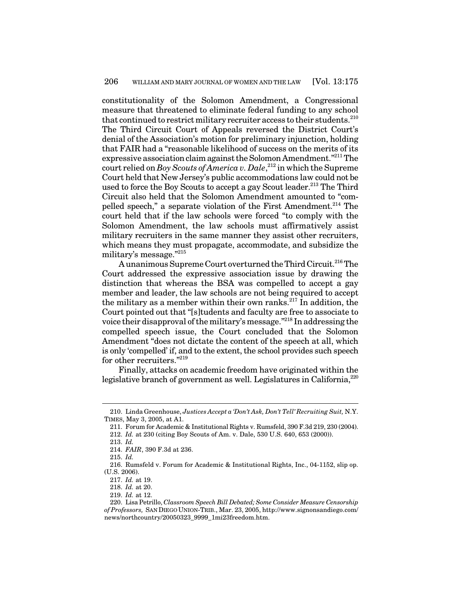constitutionality of the Solomon Amendment, a Congressional measure that threatened to eliminate federal funding to any school that continued to restrict military recruiter access to their students. $^{210}$ The Third Circuit Court of Appeals reversed the District Court's denial of the Association's motion for preliminary injunction, holding that FAIR had a "reasonable likelihood of success on the merits of its expressive association claim against the Solomon Amendment."<sup>211</sup> The court relied on *Boy Scouts of America v. Dale*, 212 in which the Supreme Court held that New Jersey's public accommodations law could not be used to force the Boy Scouts to accept a gay Scout leader. <sup>213</sup> The Third Circuit also held that the Solomon Amendment amounted to "compelled speech," a separate violation of the First Amendment.<sup>214</sup> The court held that if the law schools were forced "to comply with the Solomon Amendment, the law schools must affirmatively assist military recruiters in the same manner they assist other recruiters, which means they must propagate, accommodate, and subsidize the military's message." 215

A unanimous Supreme Court overturned the Third Circuit.<sup>216</sup> The Court addressed the expressive association issue by drawing the distinction that whereas the BSA was compelled to accept a gay member and leader, the law schools are not being required to accept the military as a member within their own ranks. 217 In addition, the Court pointed out that "[s]tudents and faculty are free to associate to voice their disapproval of the military's message."<sup>218</sup> In addressing the compelled speech issue, the Court concluded that the Solomon Amendment "does not dictate the content of the speech at all, which is only 'compelled' if, and to the extent, the school provides such speech for other recruiters." 219

Finally, attacks on academic freedom have originated within the legislative branch of government as well. Legislatures in California, 220

213. *Id.*

<sup>210.</sup> Linda Greenhouse, *Justices Accept a 'Don't Ask, Don't Tell' Recruiting Suit,* N.Y. TIMES, May 3, 2005, at A1.

<sup>211.</sup> Forum for Academic & Institutional Rights v. Rumsfeld, 390 F.3d 219, 230 (2004).

<sup>212.</sup> *Id.* at 230 (citing Boy Scouts of Am. v. Dale, 530 U.S. 640, 653 (2000)).

<sup>214.</sup> *FAIR*, 390 F.3d at 236.

<sup>215.</sup> *Id.*

<sup>216.</sup> Rumsfeld v. Forum for Academic & Institutional Rights, Inc., 04-1152, slip op. (U.S. 2006).

<sup>217.</sup> *Id.* at 19.

<sup>218.</sup> *Id.* at 20.

<sup>219.</sup> *Id.* at 12.

<sup>220.</sup> Lisa Petrillo, *Classroom Speech Bill Debated; Some Consider Measure Censorship of Professors,* SAN DIEGO UNION-TRIB., Mar. 23, 2005, http://www.signonsandiego.com/ news/northcountry/20050323\_9999\_1mi23freedom.htm.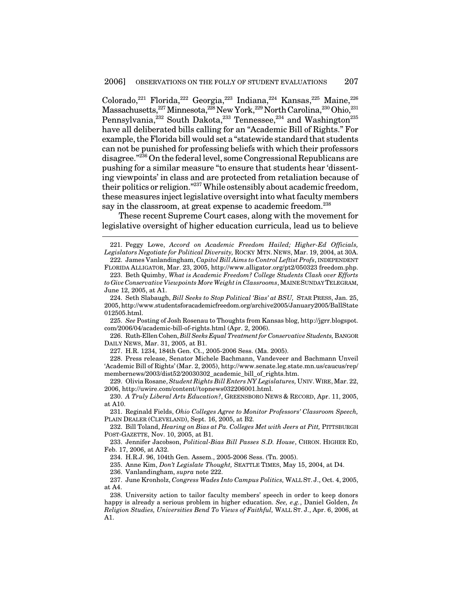Colorado,<sup>221</sup> Florida,<sup>222</sup> Georgia,<sup>223</sup> Indiana,<sup>224</sup> Kansas,<sup>225</sup> Maine,<sup>226</sup> Massachusetts, $^{227}$ Minnesota, $^{228}$ New York, $^{229}$ North Carolina, $^{230}$ Ohio, $^{231}$ Pennsylvania,<sup>232</sup> South Dakota,<sup>233</sup> Tennessee,<sup>234</sup> and Washington<sup>235</sup> have all deliberated bills calling for an "Academic Bill of Rights." For example, the Florida bill would set a "statewide standard that students can not be punished for professing beliefs with which their professors disagree."<sup>236</sup> On the federal level, some Congressional Republicans are pushing for a similar measure "to ensure that students hear 'dissenting viewpoints' in class and are protected from retaliation because of their politics or religion."<sup>237</sup> While ostensibly about academic freedom, these measures inject legislative oversight into what faculty members say in the classroom, at great expense to academic freedom.<sup>238</sup>

These recent Supreme Court cases, along with the movement for legislative oversight of higher education curricula, lead us to believe

225. *See* Posting of Josh Rosenau to Thoughts from Kansas blog, http://jgrr.blogspot. com/2006/04/academic-bill-of-rights.html (Apr. 2, 2006).

226. Ruth-Ellen Cohen, *BillSeeks EqualTreatmentfor ConservativeStudents,* BANGOR DAILY NEWS, Mar. 31, 2005, at B1.

227. H.R. 1234, 184th Gen. Ct., 2005-2006 Sess. (Ma. 2005).

228. Press release, Senator Michele Bachmann, Vandeveer and Bachmann Unveil 'Academic Bill of Rights' (Mar. 2, 2005), http://www.senate.leg.state.mn.us/caucus/rep/ membernews/2003/dist52/20030302\_academic\_bill\_of\_rights.htm.

229. Olivia Rosane, *Student Rights Bill Enters NY Legislatures,* UNIV.WIRE, Mar. 22, 2006, http://uwire.com/content//topnews032206001.html.

230. *A Truly Liberal Arts Education?*, GREENSBORO NEWS & RECORD, Apr. 11, 2005, at A10.

231. Reginald Fields, *Ohio Colleges Agree to Monitor Professors' Classroom Speech,* PLAIN DEALER (CLEVELAND), Sept. 16, 2005, at B2.

232. Bill Toland, *Hearing on Bias at Pa. Colleges Met with Jeers at Pitt,* PITTSBURGH POST-GAZETTE, Nov. 10, 2005, at B1.

233. Jennifer Jacobson, *Political-Bias Bill Passes S.D. House*, CHRON. HIGHER ED, Feb. 17, 2006, at A32.

234. H.R.J. 96, 104th Gen. Assem., 2005-2006 Sess. (Tn. 2005).

235. Anne Kim, *Don't Legislate Thought,* SEATTLE TIMES, May 15, 2004, at D4.

236. Vanlandingham, *supra* note 222.

237. June Kronholz, *Congress Wades Into Campus Politics,* WALL ST. J., Oct. 4, 2005, at A4.

238. University action to tailor faculty members' speech in order to keep donors happy is already a serious problem in higher education. *See, e.g.*, Daniel Golden, *In Religion Studies, Universities Bend To Views of Faithful,* WALL ST. J., Apr. 6, 2006, at A1.

<sup>221.</sup> Peggy Lowe, *Accord on Academic Freedom Hailed; Higher-Ed Officials, Legislators Negotiate for Political Diversity,* ROCKY MTN. NEWS, Mar. 19, 2004, at 30A. 222. James Vanlandingham, *Capitol Bill Aims to Control Leftist Profs*, INDEPENDENT

FLORIDA ALLIGATOR, Mar. 23, 2005, http://www.alligator.org/pt2/050323 freedom.php.

<sup>223.</sup> Beth Quimby, *What is Academic Freedom? College Students Clash over Efforts to Give Conservative Viewpoints More Weightin Classrooms*, MAINESUNDAYTELEGRAM, June 12, 2005, at A1.

<sup>224.</sup> Seth Slabaugh, *Bill Seeks to Stop Political 'Bias' at BSU,* STAR PRESS, Jan. 25, 2005, http://www.studentsforacademicfreedom.org/archive2005/January2005/BallState 012505.html.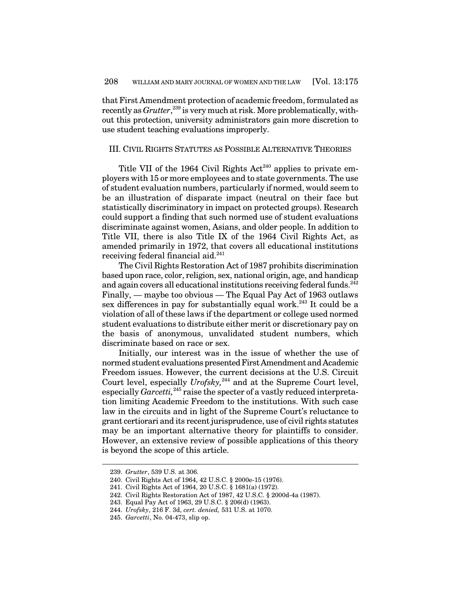thatFirst Amendment protection of academic freedom, formulated as recently as *Grutter*, 239 is very much at risk. More problematically, without this protection, university administrators gain more discretion to use student teaching evaluations improperly.

# III. CIVIL RIGHTS STATUTES AS POSSIBLE ALTERNATIVE THEORIES

Title VII of the 1964 Civil Rights Act<sup>240</sup> applies to private employers with 15 or more employees and to state governments. The use of student evaluation numbers, particularly if normed, would seem to be an illustration of disparate impact (neutral on their face but statistically discriminatory in impact on protected groups). Research could support a finding that such normed use of student evaluations discriminate against women, Asians, and older people. In addition to Title VII, there is also Title IX of the 1964 Civil Rights Act, as amended primarily in 1972, that covers all educational institutions receiving federal financial aid. 241

The Civil Rights Restoration Act of 1987 prohibits discrimination based upon race, color, religion, sex, national origin, age, and handicap and again covers all educational institutions receiving federal funds.<sup>242</sup> Finally, — maybe too obvious — The Equal Pay Act of 1963 outlaws sex differences in pay for substantially equal work.<sup>243</sup> It could be a violation of all of these laws if the department or college used normed student evaluations to distribute either merit or discretionary pay on the basis of anonymous, unvalidated student numbers, which discriminate based on race or sex.

Initially, our interest was in the issue of whether the use of normed student evaluations presented First Amendment and Academic Freedom issues. However, the current decisions at the U.S. Circuit Court level, especially *Urofsky,* 244 and at the Supreme Court level, especially *Garcetti*,<sup>245</sup> raise the specter of a vastly reduced interpretation limiting Academic Freedom to the institutions. With such case law in the circuits and in light of the Supreme Court's reluctance to grant certiorari and its recentjurisprudence, use of civil rights statutes may be an important alternative theory for plaintiffs to consider. However, an extensive review of possible applications of this theory is beyond the scope of this article.

<sup>239.</sup> *Grutter*, 539 U.S. at 306.

<sup>240.</sup> Civil Rights Act of 1964, 42 U.S.C. § 2000e-15 (1976).

<sup>241.</sup> Civil Rights Act of 1964, 20 U.S.C. § 1681(a) (1972).

<sup>242.</sup> Civil Rights Restoration Act of 1987, 42 U.S.C. § 2000d-4a (1987).

<sup>243.</sup> Equal Pay Act of 1963, 29 U.S.C. § 206(d) (1963).

<sup>244.</sup> *Urofsky*, 216 F. 3d, *cert. denied,* 531 U.S. at 1070.

<sup>245.</sup> *Garcetti*, No. 04-473, slip op.